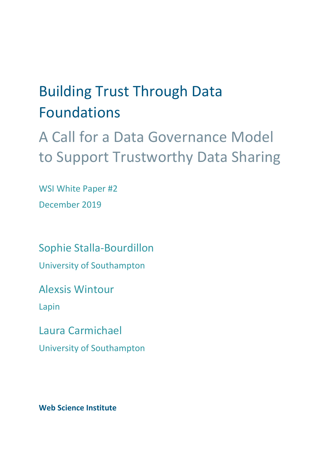# Building Trust Through Data Foundations

A Call for a Data Governance Model to Support Trustworthy Data Sharing

WSI White Paper #2 December 2019

Sophie Stalla-Bourdillon University of Southampton

Alexsis Wintour

Lapin

Laura Carmichael

University of Southampton

**Web Science Institute**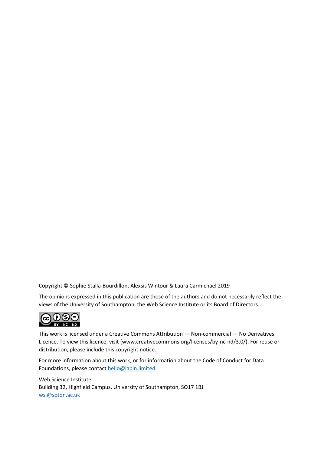Copyright © Sophie Stalla-Bourdillon, Alexsis Wintour & Laura Carmichael 2019

The opinions expressed in this publication are those of the authors and do not necessarily reflect the views of the University of Southampton, the Web Science Institute or its Board of Directors.



This work is licensed under a Creative Commons Attribution — Non-commercial — No Derivatives Licence. To view this licence, visit (www.creativecommons.org/licenses/by-nc-nd/3.0/). For reuse or distribution, please include this copyright notice.

For more information about this work, or for information about the Code of Conduct for Data Foundations, please contact [hello@lapin.limited](mailto:hello@lapin.limited)

Web Science Institute Building 32, Highfield Campus, University of Southampton, SO17 1BJ [wsi@soton.ac.uk](mailto:wsi@soton.ac.uk)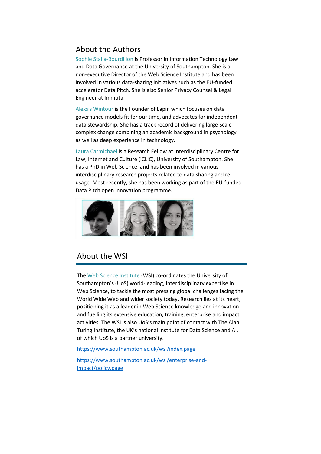# About the Authors

Sophie Stalla-Bourdillon is Professor in Information Technology Law and Data Governance at the University of Southampton. She is a non-executive Director of the Web Science Institute and has been involved in various data-sharing initiatives such as the EU-funded accelerator Data Pitch. She is also Senior Privacy Counsel & Legal Engineer at Immuta.

Alexsis Wintour is the Founder of Lapin which focuses on data governance models fit for our time, and advocates for independent data stewardship. She has a track record of delivering large-scale complex change combining an academic background in psychology as well as deep experience in technology.

Laura Carmichael is a Research Fellow at Interdisciplinary Centre for Law, Internet and Culture (iCLIC), University of Southampton. She has a PhD in Web Science, and has been involved in various interdisciplinary research projects related to data sharing and reusage. Most recently, she has been working as part of the EU-funded Data Pitch open innovation programme.



# About the WSI

The Web Science Institute (WSI) co-ordinates the University of Southampton's (UoS) world-leading, interdisciplinary expertise in Web Science, to tackle the most pressing global challenges facing the World Wide Web and wider society today. Research lies at its heart, positioning it as a leader in Web Science knowledge and innovation and fuelling its extensive education, training, enterprise and impact activities. The WSI is also UoS's main point of contact with The Alan Turing Institute, the UK's national institute for Data Science and AI, of which UoS is a partner university.

<https://www.southampton.ac.uk/wsi/index.page>

[https://www.southampton.ac.uk/wsi/enterprise-and](https://www.southampton.ac.uk/wsi/enterprise-and-impact/policy.page)[impact/policy.page](https://www.southampton.ac.uk/wsi/enterprise-and-impact/policy.page)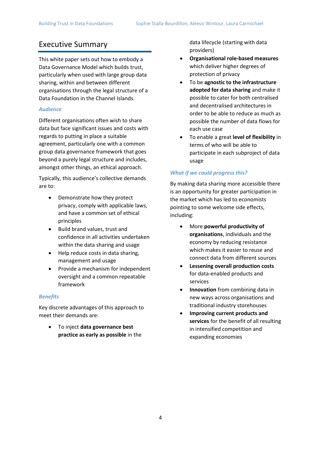# Executive Summary

This white paper sets out how to embody a Data Governance Model which builds trust, particularly when used with large group data sharing, within and between different organisations through the legal structure of a Data Foundation in the Channel Islands.

#### *Audience*

Different organisations often wish to share data but face significant issues and costs with regards to putting in place a suitable agreement, particularly one with a common group data governance framework that goes beyond a purely legal structure and includes, amongst other things, an ethical approach.

Typically, this audience's collective demands are to:

- Demonstrate how they protect privacy, comply with applicable laws, and have a common set of ethical principles
- Build brand values, trust and confidence in all activities undertaken within the data sharing and usage
- Help reduce costs in data sharing, management and usage
- Provide a mechanism for independent oversight and a common repeatable framework

#### *Benefits*

Key discrete advantages of this approach to meet their demands are:

• To inject **data governance best practice as early as possible** in the data lifecycle (starting with data providers)

- **Organisational role-based measures** which deliver higher degrees of protection of privacy
- To be **agnostic to the infrastructure adopted for data sharing** and make it possible to cater for both centralised and decentralised architectures in order to be able to reduce as much as possible the number of data flows for each use case
- To enable a great **level of flexibility** in terms of who will be able to participate in each subproject of data usage

#### *What if we could progress this?*

By making data sharing more accessible there is an opportunity for greater participation in the market which has led to economists pointing to some welcome side effects, including:

- More **powerful productivity of organisations**, individuals and the economy by reducing resistance which makes it easier to reuse and connect data from different sources
- **Lessening overall production costs** for data-enabled products and services
- **Innovation** from combining data in new ways across organisations and traditional industry storehouses
- **Improving current products and services** for the benefit of all resulting in intensified competition and expanding economies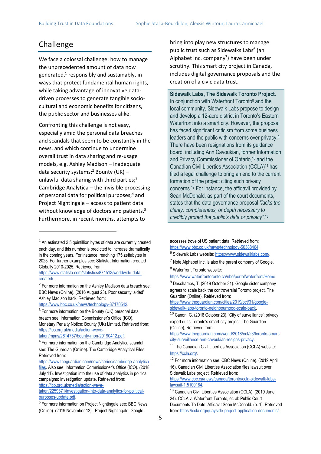# Challenge

We face a colossal challenge: how to manage the unprecedented amount of data now generated,<sup>1</sup> responsibly and sustainably, in ways that protect fundamental human rights, while taking advantage of innovative datadriven processes to generate tangible sociocultural and economic benefits for citizens, the public sector and businesses alike.

Confronting this challenge is not easy, especially amid the personal data breaches and scandals that seem to be constantly in the news, and which continue to undermine overall trust in data sharing and re-usage models, e.g. Ashley Madison – inadequate data security systems;<sup>2</sup> Bounty (UK) unlawful data sharing with third parties;<sup>3</sup> Cambridge Analytica – the invisible processing of personal data for political purposes;<sup>4</sup> and Project Nightingale – access to patient data without knowledge of doctors and patients.<sup>5</sup> Furthermore, in recent months, attempts to

[https://www.bbc.co.uk/news/technology-37170542.](https://www.bbc.co.uk/news/technology-37170542)

<sup>3</sup> For more information on the Bounty (UK) personal data breach see: Information Commissioner's Office (ICO). Monetary Penalty Notice: Bounty (UK) Limited. Retrieved from: [https://ico.org.uk/media/action-weve-](https://ico.org.uk/media/action-weve-taken/mpns/2614757/bounty-mpn-20190412.pdf)

[taken/mpns/2614757/bounty-mpn-20190412.pdf.](https://ico.org.uk/media/action-weve-taken/mpns/2614757/bounty-mpn-20190412.pdf)

[taken/2259371/investigation-into-data-analytics-for-political](https://ico.org.uk/media/action-weve-taken/2259371/investigation-into-data-analytics-for-political-purposes-update.pdf)[purposes-update.pdf.](https://ico.org.uk/media/action-weve-taken/2259371/investigation-into-data-analytics-for-political-purposes-update.pdf)

bring into play new structures to manage public trust such as Sidewalks Labs<sup>6</sup> (an Alphabet Inc. company<sup>7</sup>) have been under scrutiny. This smart city project in Canada, includes digital governance proposals and the creation of a civic data trust.

**Sidewalk Labs, The Sidewalk Toronto Project.** In conjunction with Waterfront Toronto<sup>8</sup> and the local community, Sidewalk Labs propose to design and develop a 12-acre district in Toronto's Eastern Waterfront into a smart city. However, the proposal has faced significant criticism from some business leaders and the public with concerns over privacy.<sup>9</sup> There have been resignations from its guidance board, including Ann Cavoukian, former Information and Privacy Commissioner of Ontario, <sup>10</sup> and the Canadian Civil Liberties Association (CCLA)<sup>11</sup> has filed a legal challenge to bring an end to the current formation of the project citing such privacy concerns.<sup>12</sup> For instance, the affidavit provided by Sean McDonald, as part of the court documents, states that the data governance proposal *"lacks the clarity, completeness, or depth necessary to credibly protect the public's data or privacy"*. 13

accesses trove of US patient data. Retrieved from: [https://www.bbc.co.uk/news/technology-50388464.](https://www.bbc.co.uk/news/technology-50388464)

<https://www.waterfrontoronto.ca/nbe/portal/waterfront/Home>

[https://www.theguardian.com/cities/2019/oct/31/google](https://www.theguardian.com/cities/2019/oct/31/google-sidewalk-labs-toronto-neighbourhood-scale-back)[sidewalk-labs-toronto-neighbourhood-scale-back.](https://www.theguardian.com/cities/2019/oct/31/google-sidewalk-labs-toronto-neighbourhood-scale-back)

[https://www.theguardian.com/world/2018/oct/23/toronto-smart](https://www.theguardian.com/world/2018/oct/23/toronto-smart-city-surveillance-ann-cavoukian-resigns-privacy)[city-surveillance-ann-cavoukian-resigns-privacy.](https://www.theguardian.com/world/2018/oct/23/toronto-smart-city-surveillance-ann-cavoukian-resigns-privacy)

<sup>12</sup> For more information see: CBC News (Online). (2019 April 16). Canadian Civil Liberties Association files lawsuit over Sidewalk Labs project. Retrieved from:

[https://www.cbc.ca/news/canada/toronto/ccla-sidewalk-labs](https://www.cbc.ca/news/canada/toronto/ccla-sidewalk-labs-lawsuit-1.5100184)[lawsuit-1.5100184.](https://www.cbc.ca/news/canada/toronto/ccla-sidewalk-labs-lawsuit-1.5100184)

<sup>13</sup> Canadian Civil Liberties Association (CCLA). (2019 June 24). CCLA v. Waterfront Toronto, et. al: Public Court Documents To Date: Affidavit Sean McDonald. (p. 1). Retrieved from[: https://ccla.org/quayside-project-application-documents/.](https://ccla.org/quayside-project-application-documents/)

<sup>&</sup>lt;sup>1</sup> An estimated 2.5 quintillion bytes of data are currently created each day, and this number is predicted to increase dramatically in the coming years. For instance, reaching 175 zettabytes in 2025. For further examples see: Statista, Information created Globally 2010-2025. Retrieved from:

[https://www.statista.com/statistics/871513/worldwide-data](https://www.statista.com/statistics/871513/worldwide-data-created/)[created/.](https://www.statista.com/statistics/871513/worldwide-data-created/)

<sup>&</sup>lt;sup>2</sup> For more information on the Ashley Madison data breach see: BBC News (Online). (2016 August 23). Poor security 'aided' Ashley Madison hack. Retrieved from:

<sup>4</sup> For more information on the Cambridge Analytica scandal see: The Guardian (Online). The Cambridge Analytical Files. Retrieved from:

[https://www.theguardian.com/news/series/cambridge-analytica](https://www.theguardian.com/news/series/cambridge-analytica-files)[files](https://www.theguardian.com/news/series/cambridge-analytica-files). Also see: Information Commissioner's Office (ICO). (2018 July 11). Investigation into the use of data analytics in political campaigns: Investigation update. Retrieved from: [https://ico.org.uk/media/action-weve-](https://ico.org.uk/media/action-weve-taken/2259371/investigation-into-data-analytics-for-political-purposes-update.pdf)

<sup>&</sup>lt;sup>5</sup> For more information on Project Nightingale see: BBC News (Online). (2019 November 12). Project Nightingale: Google

<sup>&</sup>lt;sup>6</sup> Sidewalk Labs website[: https://www.sidewalklabs.com/.](https://www.sidewalklabs.com/)

 $<sup>7</sup>$  Note Alphabet Inc. is also the parent company of Google.</sup> <sup>8</sup> Waterfront Toronto website:

<sup>&</sup>lt;sup>9</sup> Deschamps, T. (2019 October 31). Google sister company agrees to scale back the controversial Toronto project. The Guardian (Online), Retrieved from:

<sup>10</sup> Canon, G. (2018 October 23). 'City of surveillance': privacy expert quits Toronto's smart-city project. The Guardian (Online), Retrieved from:

<sup>&</sup>lt;sup>11</sup> The Canadian Civil Liberties Association (CCLA) website: [https://ccla.org/.](https://ccla.org/)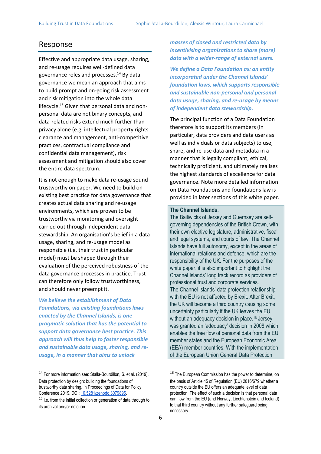# Response

Effective and appropriate data usage, sharing, and re-usage requires well-defined data governance roles and processes.<sup>14</sup> By data governance we mean an approach that aims to build prompt and on-going risk assessment and risk mitigation into the whole data lifecycle.<sup>15</sup> Given that personal data and nonpersonal data are not binary concepts, and data-related risks extend much further than privacy alone (e.g. intellectual property rights clearance and management, anti-competitive practices, contractual compliance and confidential data management), risk assessment and mitigation should also cover the entire data spectrum.

It is not enough to make data re-usage sound trustworthy on paper. We need to build on existing best practice for data governance that creates actual data sharing and re-usage environments, which are proven to be trustworthy via monitoring and oversight carried out through independent data stewardship. An organisation's belief in a data usage, sharing, and re-usage model as responsible (i.e. their trust in particular model) must be shaped through their evaluation of the perceived robustness of the data governance processes in practice. Trust can therefore only follow trustworthiness, and should never preempt it.

*We believe the establishment of Data Foundations, via existing foundations laws enacted by the Channel Islands, is one pragmatic solution that has the potential to support data governance best practice. This approach will thus help to foster responsible and sustainable data usage, sharing, and reusage, in a manner that aims to unlock* 

*masses of closed and restricted data by incentivising organisations to share (more) data with a wider-range of external users.*

*We define a Data Foundation as: an entity incorporated under the Channel Islands' foundation laws, which supports responsible and sustainable non-personal and personal data usage, sharing, and re-usage by means of independent data stewardship.*

The principal function of a Data Foundation therefore is to support its members (in particular, data providers and data users as well as individuals or data subjects) to use, share, and re-use data and metadata in a manner that is legally compliant, ethical, technically proficient, and ultimately realises the highest standards of excellence for data governance. Note more detailed information on Data Foundations and foundations law is provided in later sections of this white paper.

#### **The Channel Islands.**

The Bailiwicks of Jersey and Guernsey are selfgoverning dependencies of the British Crown, with their own elective legislature, administrative, fiscal and legal systems, and courts of law. The Channel Islands have full autonomy, except in the areas of international relations and defence, which are the responsibility of the UK. For the purposes of the white paper, it is also important to highlight the Channel Islands' long track record as providers of professional trust and corporate services. The Channel Islands' data protection relationship with the EU is not affected by Brexit. After Brexit, the UK will become a third country causing some uncertainty particularly if the UK leaves the EU without an adequacy decision in place.<sup>16</sup> Jersey was granted an 'adequacy' decision in 2008 which enables the free flow of personal data from the EU member states and the European Economic Area (EEA) member countries. With the implementation of the European Union General Data Protection

<sup>14</sup> For more information see: Stalla-Bourdillon, S. et al. (2019). Data protection by design: building the foundations of trustworthy data sharing. In Proceedings of Data for Policy Conference 2019. DOI: [10.5281/zenodo.3079895.](https://doi.org/10.5281/zenodo.3079895)

 $15$  I.e. from the initial collection or generation of data through to its archival and/or deletion.

<sup>&</sup>lt;sup>16</sup> The European Commission has the power to determine, on the basis of Article 45 of Regulation (EU) 2016/679 whether a country outside the EU offers an adequate level of data protection. The effect of such a decision is that personal data can flow from the EU (and Norway, Liechtenstein and Iceland) to that third country without any further safeguard being necessary.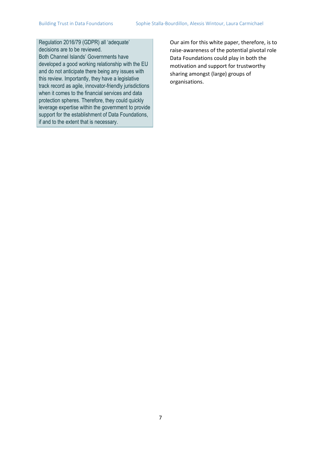Regulation 2016/79 (GDPR) all 'adequate' decisions are to be reviewed. Both Channel Islands' Governments have developed a good working relationship with the EU and do not anticipate there being any issues with this review. Importantly, they have a legislative track record as agile, innovator-friendly jurisdictions when it comes to the financial services and data protection spheres. Therefore, they could quickly leverage expertise within the government to provide support for the establishment of Data Foundations, if and to the extent that is necessary.

Our aim for this white paper, therefore, is to raise-awareness of the potential pivotal role Data Foundations could play in both the motivation and support for trustworthy sharing amongst (large) groups of organisations.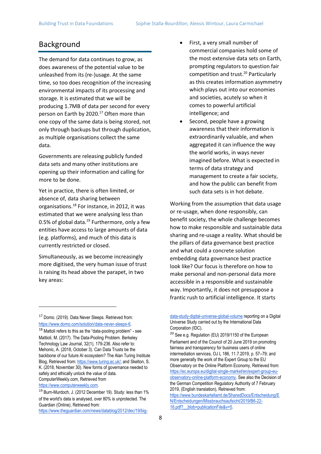# Background

The demand for data continues to grow, as does awareness of the potential value to be unleashed from its (re-)usage. At the same time, so too does recognition of the increasing environmental impacts of its processing and storage. It is estimated that we will be producing 1.7MB of data per second for every person on Earth by 2020.<sup>17</sup> Often more than one copy of the same data is being stored, not only through backups but through duplication, as multiple organisations collect the same data.

Governments are releasing publicly funded data sets and many other institutions are opening up their information and calling for more to be done.

Yet in practice, there is often limited, or absence of, data sharing between organisations.<sup>18</sup> For instance, in 2012, it was estimated that we were analysing less than 0.5% of global data.<sup>19</sup> Furthermore, only a few entities have access to large amounts of data (e.g. platforms), and much of this data is currently restricted or closed.

Simultaneously, as we become increasingly more digitised, the very human issue of trust is raising its head above the parapet, in two key areas:

<sup>17</sup> Domo. (2019). Data Never Sleeps. Retrieved from: [https://www.domo.com/solution/data-never-sleeps-6.](https://www.domo.com/solution/data-never-sleeps-6)

- First, a very small number of commercial companies hold some of the most extensive data sets on Earth, prompting regulators to question fair competition and trust.<sup>20</sup> Particularly as this creates information asymmetry which plays out into our economies and societies, acutely so when it comes to powerful artificial intelligence; and
- Second, people have a growing awareness that their information is extraordinarily valuable, and when aggregated it can influence the way the world works, in ways never imagined before. What is expected in terms of data strategy and management to create a fair society, and how the public can benefit from such data sets is in hot debate.

Working from the assumption that data usage or re-usage, when done responsibly, can benefit society, the whole challenge becomes how to make responsible and sustainable data sharing and re-usage a reality. What should be the pillars of data governance best practice and what could a concrete solution embedding data governance best practice look like? Our focus is therefore on how to make personal and non-personal data more accessible in a responsible and sustainable way. Importantly, it does not presuppose a frantic rush to artificial intelligence. It starts

16.pdf? blob=publicationFile&v=5.

<sup>18</sup> Mattoli refers to this as the "data-pooling problem" - see Mattioli, M. (2017). The Data-Pooling Problem. Berkeley Technology Law Journal, 32(1), 179-236. Also refer to: Mehonic, A. (2018, October 3). Can Data Trusts be the backbone of our future AI ecosystem? The Alan Turing Institute Blog, Retrieved from[: https://www.turing.ac.uk/;](https://www.turing.ac.uk/) and Skelton, S. K. (2018, November 30). New forms of governance needed to safely and ethically unlock the value of data. ComputerWeekly.com, Retrieved from [https://www.computerweekly.com.](https://www.computerweekly.com/)

<sup>19</sup> Burn-Murdoch, J. (2012 December 19). Study: less than 1% of the world's data is analysed, over 80% is unprotected. The Guardian (Online), Retrieved from: [https://www.theguardian.com/news/datablog/2012/dec/19/big-](https://www.theguardian.com/news/datablog/2012/dec/19/big-data-study-digital-universe-global-volume)

[data-study-digital-universe-global-volume](https://www.theguardian.com/news/datablog/2012/dec/19/big-data-study-digital-universe-global-volume) reporting on a Digital Universe Study carried out by the International Data Corporation (IDC).

<sup>20</sup> See e.g. Regulation (EU) 2019/1150 of the European Parliament and of the Council of 20 June 2019 on promoting fairness and transparency for business users of online intermediation services, OJ L 186, 11.7.2019, p. 57–79; and more generally the work of the Expert Group to the EU Observatory on the Online Platform Economy, Retrieved from: [https://ec.europa.eu/digital-single-market/en/expert-group-eu](https://ec.europa.eu/digital-single-market/en/expert-group-eu-observatory-online-platform-economy)[observatory-online-platform-economy.](https://ec.europa.eu/digital-single-market/en/expert-group-eu-observatory-online-platform-economy) See also the Decision of the German Competition Regulatory Authority of 7 February 2019, (English translation), Retrieved from: [https://www.bundeskartellamt.de/SharedDocs/Entscheidung/E](https://www.bundeskartellamt.de/SharedDocs/Entscheidung/EN/Entscheidungen/Missbrauchsaufsicht/2019/B6-22-16.pdf?__blob=publicationFile&v=5) [N/Entscheidungen/Missbrauchsaufsicht/2019/B6-22-](https://www.bundeskartellamt.de/SharedDocs/Entscheidung/EN/Entscheidungen/Missbrauchsaufsicht/2019/B6-22-16.pdf?__blob=publicationFile&v=5)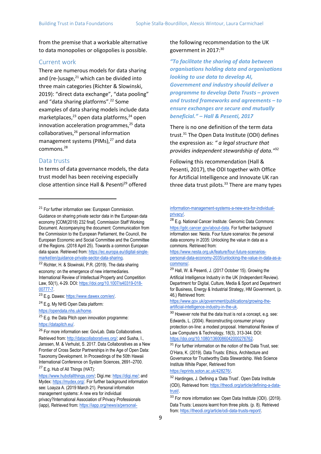from the premise that a workable alternative to data monopolies or oligopolies is possible.

#### Current work

There are numerous models for data sharing and (re-)usage, $^{21}$  which can be divided into three main categories (Richter & Slowinski, 2019): "direct data exchange", "data pooling" and "data sharing platforms".<sup>22</sup> Some examples of data sharing models include data marketplaces, $^{23}$  open data platforms, $^{24}$  open innovation acceleration programmes, $^{25}$  data collaboratives,<sup>26</sup> personal information management systems (PIMs).<sup>27</sup> and data commons.<sup>28</sup>

#### Data trusts

In terms of data governance models, the data trust model has been receiving especially close attention since Hall & Pesenti<sup>29</sup> offered

<sup>21</sup> For further information see: European Commission. Guidance on sharing private sector data in the European data economy [COM(2018) 232 final]. Commission Staff Working Document. Accompanying the document: Communication from the Commission to the European Parliament, the Council, the European Economic and Social Committee and the Committee of the Regions. (2018 April 25). Towards a common European

data space. Retrieved fro[m:](https://ec.europa.eu/digital-single-market/en/guidance-private-sector-data-sharing) [https://ec.europa.eu/digital-single](https://ec.europa.eu/digital-single-market/en/guidance-private-sector-data-sharing)[market/en/guidance-private-sector-data-sharing.](https://ec.europa.eu/digital-single-market/en/guidance-private-sector-data-sharing)

<sup>22</sup> Richter, H. & Slowinski, P.R. (2019). The data sharing economy: on the emergence of new intermediaries. International Review of Intellectual Property and Competition Law, 50(1), 4-29. DOI: [https://doi.org/10.1007/s40319-018-](https://doi.org/10.1007/s40319-018-00777-7) [00777-7.](https://doi.org/10.1007/s40319-018-00777-7)

<sup>23</sup> E.g. Dawex: [https://www.dawex.com/en/.](https://www.dawex.com/en/)

<sup>24</sup> E.g. My NHS Open Data platform:

[https://opendata.nhs.uk/home.](https://opendata.nhs.uk/home)

 $25$  E.g. the Data Pitch open innovation programme: [https://datapitch.eu/.](https://datapitch.eu/)

<sup>26</sup> For more information see: GovLab. Data Collaboratives.

Retrieved from[: http://datacollaboratives.org/;](http://datacollaboratives.org/) and Susha, I., Janssen, M. & Verhulst, S. 2017. Data Collaboratives as a New Frontier of Cross Sector Partnerships in the Age of Open Data: Taxonomy Development. In Proceedings of the 50th Hawaii International Conference on System Sciences, 2691–2700. <sup>27</sup> E.g. Hub of All Things (HAT):

[https://www.hubofallthings.com/;](https://www.hubofallthings.com/) Digi.me: [https://digi.me/;](https://digi.me/) and Mydex: [https://mydex.org/.](https://mydex.org/) For further background information see: Loayza A. (2019 March 21). Personal information management systems: A new era for individual privacy?International Association of Privacy Professionals (iapp), Retrieved from[: https://iapp.org/news/a/personal-](https://iapp.org/news/a/personal-information-management-systems-a-new-era-for-individual-privacy/)

#### the following recommendation to the UK government in 2017:<sup>30</sup>

*"To facilitate the sharing of data between organisations holding data and organisations looking to use data to develop AI, Government and industry should deliver a programme to develop Data Trusts – proven and trusted frameworks and agreements – to ensure exchanges are secure and mutually beneficial." – Hall & Pesenti, 2017*

There is no one definition of the term data trust.<sup>31</sup> The Open Data Institute (ODI) defines the expression as: *" a legal structure that provides independent stewardship of data."*<sup>32</sup>

Following this recommendation (Hall & Pesenti, 2017), the ODI together with Office for Artificial Intelligence and Innovate UK ran three data trust pilots.<sup>33</sup> There are many types

#### [information-management-systems-a-new-era-for-individual](https://iapp.org/news/a/personal-information-management-systems-a-new-era-for-individual-privacy/)[privacy/.](https://iapp.org/news/a/personal-information-management-systems-a-new-era-for-individual-privacy/)

<sup>28</sup> E.g. National Cancer Institute: Genomic Data Commons: [https://gdc.cancer.gov/about-data.](https://gdc.cancer.gov/about-data) For further background information see: Nesta. Four future scenarios: the personal data economy in 2035: Unlocking the value in data as a commons. Retrieved from:

[https://www.nesta.org.uk/feature/four-future-scenarios](https://www.nesta.org.uk/feature/four-future-scenarios-personal-data-economy-2035/unlocking-the-value-in-data-as-a-commons/)[personal-data-economy-2035/unlocking-the-value-in-data-as-a](https://www.nesta.org.uk/feature/four-future-scenarios-personal-data-economy-2035/unlocking-the-value-in-data-as-a-commons/)[commons/.](https://www.nesta.org.uk/feature/four-future-scenarios-personal-data-economy-2035/unlocking-the-value-in-data-as-a-commons/)

<sup>29</sup> Hall, W. & Pesenti, J. (2017 October 15). Growing the Artificial Intelligence Industry in the UK (Independent Review). Department for Digital, Culture, Media & Sport and Department for Business, Energy & Industrial Strategy, HM Government, (p. 46,) Retrieved from:

[https://www.gov.uk/government/publications/growing-the](https://www.gov.uk/government/publications/growing-the-artificial-intelligence-industry-in-the-uk)[artificial-intelligence-industry-in-the-uk.](https://www.gov.uk/government/publications/growing-the-artificial-intelligence-industry-in-the-uk)

<sup>30</sup> However note that the data trust is not a concept, e.g. see: Edwards, L. (2004). Reconstructing consumer privacy protection on‐line: a modest proposal. International Review of Law Computers & Technology, 18(3), 313-344. DOI: [https://doi.org/10.1080/1360086042000276762.](https://doi.org/10.1080/1360086042000276762)

<sup>31</sup> For further information on the notion of the Data Trust, see: O'Hara, K. (2019). Data Trusts: Ethics, Architecture and Governance for Trustworthy Data Stewardship. Web Science Institute White Paper, Retrieved from

<https://eprints.soton.ac.uk/428276/>.

<sup>32</sup> Hardinges, J. Defining a 'Data Trust'. Open Data Institute (ODI), Retrieved from: [https://theodi.org/article/defining-a-data](https://theodi.org/article/defining-a-data-trust/)[trust/.](https://theodi.org/article/defining-a-data-trust/)

<sup>33</sup> For more information see: Open Data Institute (ODI). (2019). Data Trusts: Lessons learnt from three pilots. (p. 8). Retrieved from[: https://theodi.org/article/odi-data-trusts-report/.](https://theodi.org/article/odi-data-trusts-report/)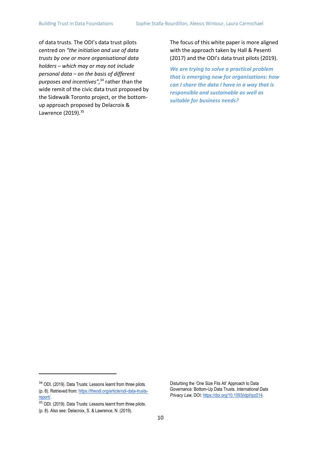of data trusts. The ODI's data trust pilots centred on *"the initiation and use of data trusts by one or more organisational data holders – which may or may not include personal data – on the basis of different purposes and incentives",*<sup>34</sup> rather than the wide remit of the civic data trust proposed by the Sidewalk Toronto project, or the bottomup approach proposed by Delacroix & Lawrence (2019).<sup>35</sup>

The focus of this white paper is more aligned with the approach taken by Hall & Pesenti (2017) and the ODI's data trust pilots (2019).

*We are trying to solve a practical problem that is emerging now for organisations: how can I share the data I have in a way that is responsible and sustainable as well as suitable for business needs?*

<sup>34</sup> ODI. (2019). Data Trusts: Lessons learnt from three pilots. (p. 8). Retrieved from: [https://theodi.org/article/odi-data-trusts](https://theodi.org/article/odi-data-trusts-report/)[report/.](https://theodi.org/article/odi-data-trusts-report/)

<sup>&</sup>lt;sup>35</sup> ODI. (2019). Data Trusts: Lessons learnt from three pilots.

<sup>(</sup>p. 8). Also see: Delacroix, S. & Lawrence, N. (2019).

Disturbing the 'One Size Fits All' Approach to Data Governance: Bottom-Up Data Trusts. *International Data Privacy Law,* DOI[: https://doi.org/10.1093/idpl/ipz014.](https://doi.org/10.1093/idpl/ipz014)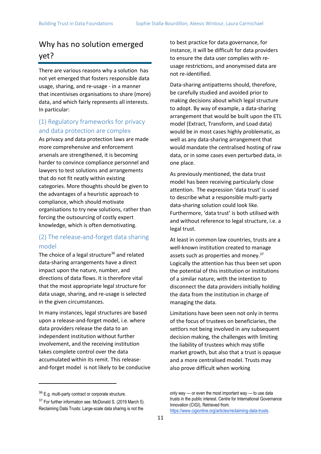# Why has no solution emerged yet?

There are various reasons why a solution has not yet emerged that fosters responsible data usage, sharing, and re-usage - in a manner that incentivises organisations to share (more) data, and which fairly represents all interests. In particular:

# (1) Regulatory frameworks for privacy and data protection are complex

As privacy and data protection laws are made more comprehensive and enforcement arsenals are strengthened, it is becoming harder to convince compliance personnel and lawyers to test solutions and arrangements that do not fit neatly within existing categories. More thoughts should be given to the advantages of a heuristic approach to compliance, which should motivate organisations to try new solutions, rather than forcing the outsourcing of costly expert knowledge, which is often demotivating.

# (2) The release-and-forget data sharing model

The choice of a legal structure $36$  and related data-sharing arrangements have a direct impact upon the nature, number, and directions of data flows. It is therefore vital that the most appropriate legal structure for data usage, sharing, and re-usage is selected in the given circumstances.

In many instances, legal structures are based upon a release-and-forget model, i.e. where data providers release the data to an independent institution without further involvement, and the receiving institution takes complete control over the data accumulated within its remit. This releaseand-forget model is not likely to be conducive to best practice for data governance, for instance, it will be difficult for data providers to ensure the data user complies with reusage restrictions, and anonymised data are not re-identified.

Data-sharing antipatterns should, therefore, be carefully studied and avoided prior to making decisions about which legal structure to adopt. By way of example, a data-sharing arrangement that would be built upon the ETL model (Extract, Transform, and Load data) would be in most cases highly problematic, as well as any data-sharing arrangement that would mandate the centralised hosting of raw data, or in some cases even perturbed data, in one place.

As previously mentioned, the data trust model has been receiving particularly close attention. The expression 'data trust' is used to describe what a responsible multi-party data-sharing solution could look like. Furthermore, 'data trust' is both utilised with and without reference to legal structure, i.e. a legal trust.

At least in common law countries, trusts are a well-known institution created to manage assets such as properties and money.<sup>37</sup> Logically the attention has thus been set upon the potential of this institution or institutions of a similar nature, with the intention to disconnect the data providers initially holding the data from the institution in charge of managing the data.

Limitations have been seen not only in terms of the focus of trustees on beneficiaries, the settlors not being involved in any subsequent decision making, the challenges with limiting the liability of trustees which may stifle market growth, but also that a trust is opaque and a more centralised model. Trusts may also prove difficult when working

<sup>&</sup>lt;sup>36</sup> E.g. multi-party contract or corporate structure.

<sup>&</sup>lt;sup>37</sup> For further information see: McDonald S. (2019 March 5). Reclaiming Data Trusts: Large-scale data sharing is not the

only way — or even the most important way — to use data trusts in the public interest. Centre for International Governance Innovation (CIGI), Retrieved from: [https://www.cigionline.org/articles/reclaiming-data-trusts.](https://www.cigionline.org/articles/reclaiming-data-trusts)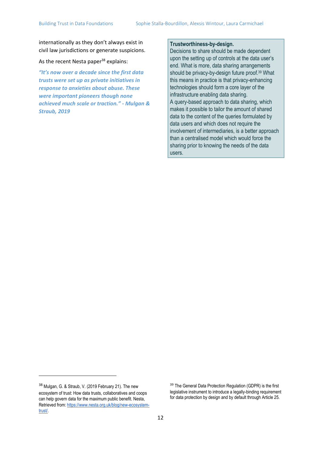internationally as they don't always exist in civil law jurisdictions or generate suspicions.

As the recent Nesta paper<sup>38</sup> explains:

*"It's now over a decade since the first data trusts were set up as private initiatives in response to anxieties about abuse. These were important pioneers though none achieved much scale or traction." - Mulgan & Straub, 2019*

#### **Trustworthiness-by-design.**

Decisions to share should be made dependent upon the setting up of controls at the data user's end. What is more, data sharing arrangements should be privacy-by-design future proof.<sup>39</sup> What this means in practice is that privacy-enhancing technologies should form a core layer of the infrastructure enabling data sharing. A query-based approach to data sharing, which makes it possible to tailor the amount of shared data to the content of the queries formulated by data users and which does not require the involvement of intermediaries, is a better approach than a centralised model which would force the sharing prior to knowing the needs of the data users.

<sup>38</sup> Mulgan, G. & Straub, V. (2019 February 21). The new ecosystem of trust: How data trusts, collaboratives and coops can help govern data for the maximum public benefit. Nesta, Retrieved from: [https://www.nesta.org.uk/blog/new-ecosystem](https://www.nesta.org.uk/blog/new-ecosystem-trust/)[trust/.](https://www.nesta.org.uk/blog/new-ecosystem-trust/) 

<sup>&</sup>lt;sup>39</sup> The General Data Protection Regulation (GDPR) is the first legislative instrument to introduce a legally-binding requirement for data protection by design and by default through Article 25.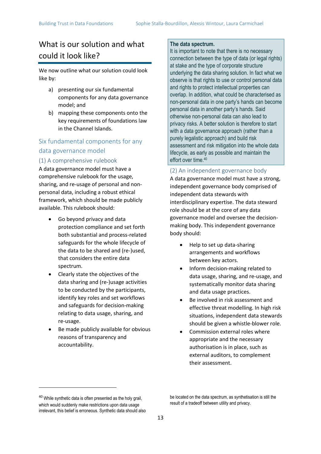# What is our solution and what could it look like?

We now outline what our solution could look like by:

- a) presenting our six fundamental components for any data governance model; and
- b) mapping these components onto the key requirements of foundations law in the Channel Islands.

# Six fundamental components for any data governance model

### (1) A comprehensive rulebook

A data governance model must have a comprehensive rulebook for the usage, sharing, and re-usage of personal and nonpersonal data, including a robust ethical framework, which should be made publicly available. This rulebook should:

- Go beyond privacy and data protection compliance and set forth both substantial and process-related safeguards for the whole lifecycle of the data to be shared and (re-)used, that considers the entire data spectrum.
- Clearly state the objectives of the data sharing and (re-)usage activities to be conducted by the participants, identify key roles and set workflows and safeguards for decision-making relating to data usage, sharing, and re-usage.
- Be made publicly available for obvious reasons of transparency and accountability.

#### **The data spectrum.**

It is important to note that there is no necessary connection between the type of data (or legal rights) at stake and the type of corporate structure underlying the data sharing solution. In fact what we observe is that rights to use or control personal data and rights to protect intellectual properties can overlap. In addition, what could be characterised as non-personal data in one party's hands can become personal data in another party's hands. Said otherwise non-personal data can also lead to privacy risks. A better solution is therefore to start with a data governance approach (rather than a purely legalistic approach) and build risk assessment and risk mitigation into the whole data lifecycle, as early as possible and maintain the effort over time.<sup>40</sup>

#### (2) An independent governance body

A data governance model must have a strong, independent governance body comprised of independent data stewards with interdisciplinary expertise. The data steward role should be at the core of any data governance model and oversee the decisionmaking body. This independent governance body should:

- Help to set up data-sharing arrangements and workflows between key actors.
- Inform decision-making related to data usage, sharing, and re-usage, and systematically monitor data sharing and data usage practices.
- Be involved in risk assessment and effective threat modelling. In high risk situations, independent data stewards should be given a whistle-blower role.
- Commission external roles where appropriate and the necessary authorisation is in place, such as external auditors, to complement their assessment.

<sup>&</sup>lt;sup>40</sup> While synthetic data is often presented as the holy grail, which would suddenly make restrictions upon data usage irrelevant, this belief is erroneous. Synthetic data should also

be located on the data spectrum, as synthetisation is still the result of a tradeoff between utility and privacy.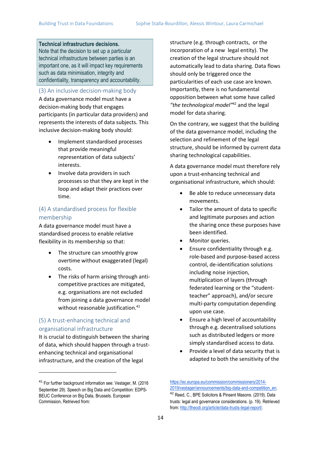#### **Technical infrastructure decisions.**

Note that the decision to set up a particular technical infrastructure between parties is an important one, as it will impact key requirements such as data minimisation, integrity and confidentiality, transparency and accountability.

(3) An inclusive decision-making body

A data governance model must have a decision-making body that engages participants (in particular data providers) and represents the interests of data subjects. This inclusive decision-making body should:

- Implement standardised processes that provide meaningful representation of data subjects' interests.
- Involve data providers in such processes so that they are kept in the loop and adapt their practices over time.

#### (4) A standardised process for flexible membership

A data governance model must have a standardised process to enable relative flexibility in its membership so that:

- The structure can smoothly grow overtime without exaggerated (legal) costs.
- The risks of harm arising through anticompetitive practices are mitigated, e.g. organisations are not excluded from joining a data governance model without reasonable justification.<sup>41</sup>

### (5) A trust-enhancing technical and organisational infrastructure

It is crucial to distinguish between the sharing of data, which should happen through a trustenhancing technical and organisational infrastructure, and the creation of the legal

structure (e.g. through contracts, or the incorporation of a new legal entity). The creation of the legal structure should not automatically lead to data sharing. Data flows should only be triggered once the particularities of each use case are known. Importantly, there is no fundamental opposition between what some have called *"the technological model"*<sup>42</sup> and the legal model for data sharing.

On the contrary, we suggest that the building of the data governance model, including the selection and refinement of the legal structure, should be informed by current data sharing technological capabilities.

A data governance model must therefore rely upon a trust-enhancing technical and organisational infrastructure, which should:

- Be able to reduce unnecessary data movements.
- Tailor the amount of data to specific and legitimate purposes and action the sharing once these purposes have been identified.
- Monitor queries.
- Ensure confidentiality through e.g. role-based and purpose-based access control, de-identification solutions including noise injection, multiplication of layers (through federated learning or the "studentteacher" approach), and/or secure multi-party computation depending upon use case.
- Ensure a high level of accountability through e.g. decentralised solutions such as distributed ledgers or more simply standardised access to data.
- Provide a level of data security that is adapted to both the sensitivity of the

<sup>41</sup> For further background information see: Vestager, M. (2016 September 29). Speech on Big Data and Competition: EDPS-BEUC Conference on Big Data, Brussels. European Commission, Retrieved from:

[https://ec.europa.eu/commission/commissioners/2014-](https://ec.europa.eu/commission/commissioners/2014-2019/vestager/announcements/big-data-and-competition_en) [2019/vestager/announcements/big-data-and-competition\\_en.](https://ec.europa.eu/commission/commissioners/2014-2019/vestager/announcements/big-data-and-competition_en)  <sup>42</sup> Reed, C., BPE Solicitors & Pinsent Masons. (2019). Data trusts: legal and governance considerations. (p. 19). Retrieved from[: http://theodi.org/article/data-trusts-legal-report/.](http://theodi.org/article/data-trusts-legal-report/)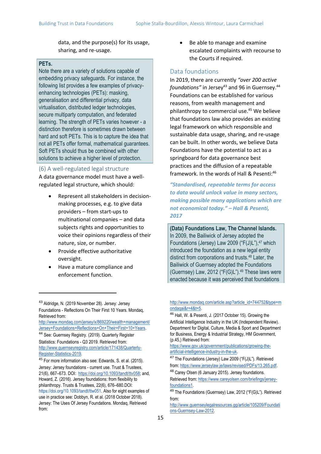data, and the purpose(s) for its usage, sharing, and re-usage.

#### **PETs.**

Note there are a variety of solutions capable of embedding privacy safeguards. For instance, the following list provides a few examples of privacyenhancing technologies (PETs): masking, generalisation and differential privacy, data virtualisation, distributed ledger technologies, secure multiparty computation, and federated learning. The strength of PETs varies however - a distinction therefore is sometimes drawn between hard and soft PETs. This is to capture the idea that not all PETs offer formal, mathematical guarantees. Soft PETs should thus be combined with other solutions to achieve a higher level of protection.

#### (6) A well-regulated legal structure

A data governance model must have a wellregulated legal structure, which should:

- Represent all stakeholders in decisionmaking processes, e.g. to give data providers – from start-ups to multinational companies – and data subjects rights and opportunities to voice their opinions regardless of their nature, size, or number.
- Provide effective authoritative oversight.
- Have a mature compliance and enforcement function.

#### Data foundations

In 2019, there are currently *"over 200 active foundations*" in Jersey<sup>43</sup> and 96 in Guernsey.<sup>44</sup> Foundations can be established for various reasons, from wealth management and philanthropy to commercial use.<sup>45</sup> We believe that foundations law also provides an existing legal framework on which responsible and sustainable data usage, sharing, and re-usage can be built. In other words, we believe Data Foundations have the potential to act as a springboard for data governance best practices and the diffusion of a repeatable framework. In the words of Hall & Pesenti:<sup>46</sup>

*"Standardised, repeatable terms for access to data would unlock value in many sectors, making possible many applications which are not economical today." – Hall & Pesenti, 2017*

**(Data) Foundations Law, The Channel Islands.** In 2009, the Bailiwick of Jersey adopted the Foundations (Jersey) Law 2009 ("F(J)L"), $47$  which introduced the foundation as a new legal entity distinct from corporations and trusts.<sup>48</sup> Later, the Bailiwick of Guernsey adopted the Foundations (Guernsey) Law, 2012 (" $F(G)$ L").<sup>49</sup> These laws were enacted because it was perceived that foundations

[http://www.mondaq.com/jersey/x/869220/wealth+management/](http://www.mondaq.com/jersey/x/869220/wealth+management/Jersey+Foundations+Reflections+On+Their+First+10+Years) [Jersey+Foundations+Reflections+On+Their+First+10+Years.](http://www.mondaq.com/jersey/x/869220/wealth+management/Jersey+Foundations+Reflections+On+Their+First+10+Years)

<sup>44</sup> See: Guernsey Registry. (2019). Quarterly Register Statistics: Foundations - Q3 2019. Retrieved from: [http://www.guernseyregistry.com/article/171438/Quarterly-](http://www.guernseyregistry.com/article/171438/Quarterly-Register-Statistics-2019)[Register-Statistics-2019.](http://www.guernseyregistry.com/article/171438/Quarterly-Register-Statistics-2019)

45 For more information also see: Edwards, S. et al. (2015). Jersey: Jersey foundations - current use. Trust & Trustees, 21(6), 667–673. DOI[: https://doi.org/10.1093/tandt/ttv058;](https://doi.org/10.1093/tandt/ttv058) and, Howard, Z. (2016). Jersey foundations: from flexibility to philanthropy. Trusts & Trustees, 22(6), 676–680.DOI[:](https://doi.org/10.1093/tandt/ttw051) [https://doi.org/10.1093/tandt/ttw051.](https://doi.org/10.1093/tandt/ttw051) Also for eight examples of use in practice see: Dobbyn, R. et al. (2018 October 2018). Jersey: The Uses Of Jersey Foundations. Mondaq, Retrieved from:

<sup>•</sup> Be able to manage and examine escalated complaints with recourse to the Courts if required.

<sup>43</sup> Aldridge, N. (2019 November 28). Jersey: Jersey Foundations - Reflections On Their First 10 Years. Mondaq, Retrieved from:

http://www.mondag.com/article.asp?article\_id=744752&type=m [ondaqai&r=4&t=5.](http://www.mondaq.com/article.asp?article_id=744752&type=mondaqai&r=4&t=5)

<sup>46</sup> Hall, W. & Pesenti, J. (2017 October 15). Growing the Artificial Intelligence Industry in the UK (Independent Review). Department for Digital, Culture, Media & Sport and Department for Business, Energy & Industrial Strategy, HM Government, (p.45,) Retrieved from:

[https://www.gov.uk/government/publications/growing-the](https://www.gov.uk/government/publications/growing-the-artificial-intelligence-industry-in-the-uk)[artificial-intelligence-industry-in-the-uk.](https://www.gov.uk/government/publications/growing-the-artificial-intelligence-industry-in-the-uk)

<sup>&</sup>lt;sup>47</sup> The Foundations (Jersey) Law 2009 ("F(J)L"). Retrieved from[: https://www.jerseylaw.je/laws/revised/PDFs/13.265.pdf.](https://www.jerseylaw.je/laws/revised/PDFs/13.265.pdf)

<sup>48</sup> Carey Olsen (6 January 2015). Jersey foundations. Retrieved from: [https://www.careyolsen.com/briefings/jersey-](https://www.careyolsen.com/briefings/jersey-foundations1)

[foundations1.](https://www.careyolsen.com/briefings/jersey-foundations1)

<sup>49</sup> The Foundations (Guernsey) Law, 2012 ("F(G)L"). Retrieved from:

[http://www.guernseylegalresources.gg/article/105209/Foundati](http://www.guernseylegalresources.gg/article/105209/Foundations-Guernsey-Law-2012) [ons-Guernsey-Law-2012.](http://www.guernseylegalresources.gg/article/105209/Foundations-Guernsey-Law-2012)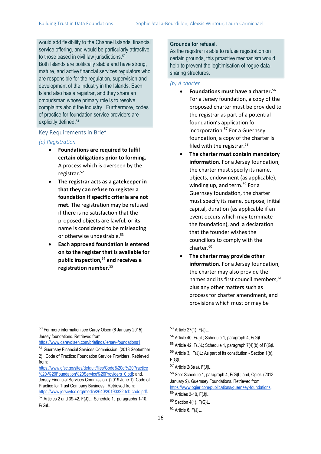would add flexibility to the Channel Islands' financial service offering, and would be particularly attractive to those based in civil law jurisdictions.<sup>50</sup> Both Islands are politically stable and have strong, mature, and active financial services regulators who are responsible for the regulation, supervision and development of the industry in the Islands. Each Island also has a registrar, and they share an ombudsman whose primary role is to resolve complaints about the industry. Furthermore, codes of practice for foundation service providers are explicitly defined.<sup>51</sup>

## Key Requirements in Brief

#### *(a) Registration*

- **Foundations are required to fulfil certain obligations prior to forming.** A process which is overseen by the registrar.<sup>52</sup>
- **The registrar acts as a gatekeeper in that they can refuse to register a foundation if specific criteria are not met.** The registration may be refused if there is no satisfaction that the proposed objects are lawful, or its name is considered to be misleading or otherwise undesirable.<sup>53</sup>
- **Each approved foundation is entered on to the register that is available for public inspection,**<sup>54</sup> **and receives a registration number.**<sup>55</sup>

#### **Grounds for refusal.**

As the registrar is able to refuse registration on certain grounds, this proactive mechanism would help to prevent the legitimisation of rogue datasharing structures.

#### *(b) A charter*

- **Foundations must have a charter.**<sup>56</sup> For a Jersey foundation, a copy of the proposed charter must be provided to the registrar as part of a potential foundation's application for incorporation.<sup>57</sup> For a Guernsey foundation, a copy of the charter is filed with the registrar.<sup>58</sup>
- **The charter must contain mandatory information.** For a Jersey foundation, the charter must specify its name, objects, endowment (as applicable), winding up, and term.<sup>59</sup> For a Guernsey foundation, the charter must specify its name, purpose, initial capital, duration (as applicable if an event occurs which may terminate the foundation), and a declaration that the founder wishes the councillors to comply with the charter.<sup>60</sup>
- **The charter may provide other information.** For a Jersey foundation, the charter may also provide the names and its first council members, <sup>61</sup> plus any other matters such as process for charter amendment, and provisions which must or may be

<sup>50</sup> For more information see Carey Olsen (6 January 2015). Jersey foundations. Retrieved from:

[https://www.careyolsen.com/briefings/jersey-foundations1.](https://www.careyolsen.com/briefings/jersey-foundations1)

<sup>51</sup> Guernsey Financial Services Commission. (2013 September 2). Code of Practice: Foundation Service Providers. Retrieved from:

[https://www.gfsc.gg/sites/default/files/Code%20of%20Practice](https://www.gfsc.gg/sites/default/files/Code%20of%20Practice%20-%20Foundation%20Service%20Providers_0.pdf) [%20-%20Foundation%20Service%20Providers\\_0.pdf;](https://www.gfsc.gg/sites/default/files/Code%20of%20Practice%20-%20Foundation%20Service%20Providers_0.pdf) and,

Jersey Financial Services Commission. (2019 June 1). Code of Practice for Trust Company Business:. Retrieved from: [https://www.jerseyfsc.org/media/2640/20190322-tcb-code.pdf.](https://www.jerseyfsc.org/media/2640/20190322-tcb-code.pdf)

<sup>52</sup> Articles 2 and 39-42, F(J)L; Schedule 1, paragraphs 1-10, F(G)L.

<sup>53</sup> Article 27(1), F(J)L.

<sup>54</sup> Article 40, F(J)L; Schedule 1, paragraph 4, F(G)L.

<sup>&</sup>lt;sup>55</sup> Article 42,  $F(J)L$ ; Schedule 1, paragraph  $7(4)(b)$  of  $F(G)L$ .

<sup>56</sup> Article 3, F(J)L; As part of its constitution - Section 1(b), F(G)L.

<sup>57</sup> Article 2(3)(a), F(J)L.

<sup>58</sup> See: Schedule 1, paragraph 4, F(G)L; and, Ogier. (2013 January 9). Guernsey Foundations. Retrieved from:

<https://www.ogier.com/publications/guernsey-foundations>*.* <sup>59</sup> Articles 3-10, F(J)L.

 $60$  Section 4(1), F(G)L.

<sup>61</sup> Article 6, F(J)L.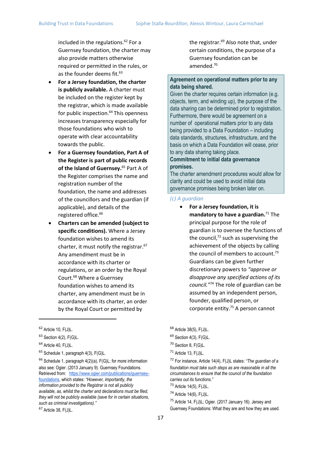included in the regulations.<sup>62</sup> For a Guernsey foundation, the charter may also provide matters otherwise required or permitted in the rules, or as the founder deems fit.<sup>63</sup>

- **For a Jersey foundation, the charter is publicly available.** A charter must be included on the register kept by the registrar, which is made available for public inspection.<sup>64</sup> This openness increases transparency especially for those foundations who wish to operate with clear accountability towards the public.
- **For a Guernsey foundation, Part A of the Register is part of public records of the Island of Guernsey.**<sup>65</sup> Part A of the Register comprises the name and registration number of the foundation, the name and addresses of the councillors and the guardian (if applicable), and details of the registered office.<sup>66</sup>
- **Charters can be amended (subject to specific conditions).** Where a Jersey foundation wishes to amend its charter, it must notify the registrar.<sup>67</sup> Any amendment must be in accordance with its charter or regulations, or an order by the Royal Court.<sup>68</sup> Where a Guernsey foundation wishes to amend its charter, any amendment must be in accordance with its charter, an order by the Royal Court or permitted by

the registrar.<sup>69</sup> Also note that, under certain conditions, the purpose of a Guernsey foundation can be amended.<sup>70</sup>

#### **Agreement on operational matters prior to any data being shared.**

Given the charter requires certain information (e.g. objects, term, and winding up), the purpose of the data sharing can be determined prior to registration. Furthermore, there would be agreement on a number of operational matters prior to any data being provided to a Data Foundation – including data standards, structures, infrastructure, and the basis on which a Data Foundation will cease, prior to any data sharing taking place.

#### **Commitment to initial data governance promises.**

The charter amendment procedures would allow for clarity and could be used to avoid initial data governance promises being broken later on.

#### *(c) A guardian*

• **For a Jersey foundation, it is**  mandatory to have a guardian.<sup>71</sup> The principal purpose for the role of guardian is to oversee the functions of the council, $72$  such as supervising the achievement of the objects by calling the council of members to account.<sup>73</sup> Guardians can be given further discretionary powers to *"approve or disapprove any specified actions of its council."*<sup>74</sup> The role of guardian can be assumed by an independent person, founder, qualified person, or corporate entity.<sup>75</sup> A person cannot

<sup>62</sup> Article 10, F(J)L.

 $63$  Section 4(2), F(G)L.

<sup>64</sup> Article 40, F(J)L.

<sup>65</sup> Schedule 1, paragraph 4(3), F(G)L.

 $66$  Schedule 1, paragraph 4(2)(a), F(G)L; for more information also see: Ogier. (2013 January 9). Guernsey Foundations. Retrieved from: [https://www.ogier.com/publications/guernsey](https://www.ogier.com/publications/guernsey-foundations)[foundations,](https://www.ogier.com/publications/guernsey-foundations) which states: *"However, importantly, the information provided to the Registrar is not all publicly available, as, whilst the charter and declarations must be filed, they will not be publicly available (save for in certain situations, such as criminal investigations)."* 

<sup>67</sup> Article 38, F(J)L.

<sup>68</sup> Article 38(5), F(J)L.

 $69$  Section 4(3), F(G)L.

<sup>70</sup> Section 8, F(G)L.

<sup>71</sup> Article 13, F(J)L.

<sup>72</sup> For instance, Article 14(4), F(J)L states: *"The guardian of a foundation must take such steps as are reasonable in all the circumstances to ensure that the council of the foundation carries out its functions."*  <sup>73</sup> Article 14(5), F(J)L.

 $74$  Article 14(6), F(J)L.

<sup>75</sup> Article 14, F(J)L; Ogier. (2017 January 16). Jersey and Guernsey Foundations: What they are and how they are used.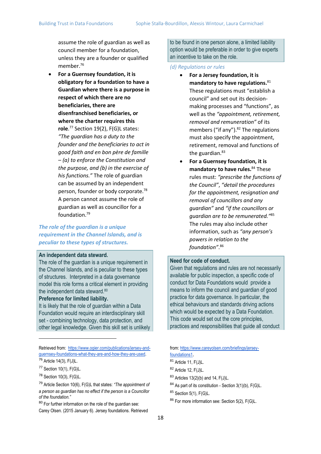assume the role of guardian as well as council member for a foundation, unless they are a founder or qualified member.<sup>76</sup>

• **For a Guernsey foundation, it is obligatory for a foundation to have a Guardian where there is a purpose in respect of which there are no beneficiaries, there are disenfranchised beneficiaries, or where the charter requires this role**. <sup>77</sup> Section 19(2), F(G)L states: *"The guardian has a duty to the founder and the beneficiaries to act in good faith and en bon père de famille – (a) to enforce the Constitution and the purpose, and (b) in the exercise of his functions."* The role of guardian can be assumed by an independent person, founder or body corporate.<sup>78</sup> A person cannot assume the role of guardian as well as councillor for a foundation.<sup>79</sup>

### *The role of the guardian is a unique requirement in the Channel Islands, and is peculiar to these types of structures.*

#### **An independent data steward.**

The role of the guardian is a unique requirement in the Channel Islands, and is peculiar to these types of structures. Interpreted in a data governance model this role forms a critical element in providing the independent data steward.<sup>80</sup>

#### **Preference for limited liability.**

It is likely that the role of guardian within a Data Foundation would require an interdisciplinary skill set - combining technology, data protection, and other legal knowledge. Given this skill set is unlikely

<sup>80</sup> For further information on the role of the guardian see: Carey Olsen. (2015 January 6). Jersey foundations. Retrieved to be found in one person alone, a limited liability option would be preferable in order to give experts an incentive to take on the role.

#### *(d) Regulations or rules*

- **For a Jersey foundation, it is mandatory to have regulations.**<sup>81</sup> These regulations must "establish a council" and set out its decisionmaking processes and "functions", as well as the *"appointment, retirement, removal and remuneration"* of its members ("if any"). $82$  The regulations must also specify the appointment, retirement, removal and functions of the guardian.<sup>83</sup>
- **For a Guernsey foundation, it is mandatory to have rules.**<sup>84</sup> These rules must: *"prescribe the functions of the Council"*, *"detail the procedures for the appointment, resignation and removal of councillors and any guardian"* and *"if the councillors or guardian are to be remunerated."*<sup>85</sup> The rules may also include other information, such as *"any person's powers in relation to the foundation"*. 86

#### **Need for code of conduct.**

Given that regulations and rules are not necessarily available for public inspection, a specific code of conduct for Data Foundations would provide a means to inform the council and guardian of good practice for data governance. In particular, the ethical behaviours and standards driving actions which would be expected by a Data Foundation. This code would set out the core principles, practices and responsibilities that guide all conduct

from[: https://www.careyolsen.com/briefings/jersey](https://www.careyolsen.com/briefings/jersey-foundations1)[foundations1](https://www.careyolsen.com/briefings/jersey-foundations1).

- <sup>82</sup> Article 12, F(J)L.
- <sup>83</sup> Articles 13(2)(b) and 14, F(J)L.
- $84$  As part of its constitution Section 3(1)(b), F(G)L.
- <sup>85</sup> Section 5(1), F(G)L.
- <sup>86</sup> For more information see: Section 5(2), F(G)L.

Retrieved from: [https://www.ogier.com/publications/jersey-and](https://www.ogier.com/publications/jersey-and-guernsey-foundations-what-they-are-and-how-they-are-used)[guernsey-foundations-what-they-are-and-how-they-are-used.](https://www.ogier.com/publications/jersey-and-guernsey-foundations-what-they-are-and-how-they-are-used) <sup>76</sup> Article 14(3), F(J)L.

<sup>77</sup> Section 10(1), F(G)L.

<sup>78</sup> Section 10(3), F(G)L.

<sup>79</sup> Article Section 10(6), F(G)L that states: *"The appointment of a person as guardian has no effect if the person is a Councillor of the foundation."*

<sup>81</sup> Article 11, F(J)L.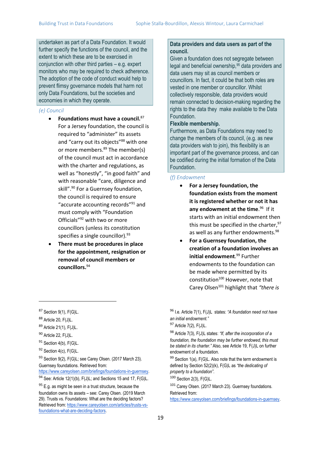undertaken as part of a Data Foundation. It would further specify the functions of the council, and the extent to which these are to be exercised in conjunction with other third parties – e.g. expert monitors who may be required to check adherence. The adoption of the code of conduct would help to prevent flimsy governance models that harm not only Data Foundations, but the societies and economies in which they operate.

#### *(e) Council*

- **Foundations must have a council.**<sup>87</sup> For a Jersey foundation, the council is required to "administer" its assets and "carry out its objects"<sup>88</sup> with one or more members.<sup>89</sup> The member(s) of the council must act in accordance with the charter and regulations, as well as "honestly", "in good faith" and with reasonable "care, diligence and skill".<sup>90</sup> For a Guernsey foundation, the council is required to ensure "accurate accounting records"<sup>91</sup> and must comply with "Foundation Officials"<sup>92</sup> with two or more councillors (unless its constitution specifies a single councillor).<sup>93</sup>
- **There must be procedures in place for the appointment, resignation or removal of council members or councillors.** 94

93 Section 9(2), F(G)L; see Carey Olsen. (2017 March 23). Guernsey foundations. Retrieved from:

[https://www.careyolsen.com/briefings/foundations-in-guernsey.](https://www.careyolsen.com/briefings/foundations-in-guernsey) 94 See: Article 12(1)(b), F(J)L; and Sections 15 and 17, F(G)L.

 $95$  E.g. as might be seen in a trust structure, because the foundation owns its assets – see: Carey Olsen. (2019 March 29). Trusts vs. Foundations: What are the deciding factors? Retrieved from[: https://www.careyolsen.com/articles/trusts-vs](https://www.careyolsen.com/articles/trusts-vs-foundations-what-are-deciding-factors)[foundations-what-are-deciding-factors.](https://www.careyolsen.com/articles/trusts-vs-foundations-what-are-deciding-factors)

#### **Data providers and data users as part of the council.**

Given a foundation does not segregate between legal and beneficial ownership,<sup>95</sup> data providers and data users may sit as council members or councillors. In fact, it could be that both roles are vested in one member or councillor. Whilst collectively responsible, data providers would remain connected to decision-making regarding the rights to the data they make available to the Data Foundation.

#### **Flexible membership.**

Furthermore, as Data Foundations may need to change the members of its council, (e.g. as new data providers wish to join), this flexibility is an important part of the governance process, and can be codified during the initial formation of the Data Foundation.

#### *(f) Endowment*

- **For a Jersey foundation, the foundation exists from the moment it is registered whether or not it has**  any endowment at the time.<sup>96</sup> If it starts with an initial endowment then this must be specified in the charter,  $97$ as well as any further endowments.<sup>98</sup>
	- **For a Guernsey foundation, the creation of a foundation involves an initial endowment**. <sup>99</sup> Further endowments to the foundation can be made where permitted by its constitution<sup>100</sup> However, note that Carey Olsen<sup>101</sup> highlight that *"there is*

 $87$  Section 9(1), F(G)L.

<sup>88</sup> Article 20, F(J)L.

<sup>89</sup> Article 21(1), F(J)L.

<sup>90</sup> Article 22, F(J)L.

<sup>&</sup>lt;sup>91</sup> Section 4(b), F(G)L.

<sup>92</sup> Section 4(c), F(G)L.

<sup>96</sup> I.e. Article 7(1), F(J)L states: *"A foundation need not have an initial endowment."* 

 $97$  Article 7(2), F(J)L.

<sup>98</sup> Article 7(3), F(J)L states: *"If, after the incorporation of a foundation, the foundation may be further endowed, this must be stated in its charter."* Also, see Article 19, F(J)L on further endowment of a foundation.

 $99$  Section 1(a), F(G)L. Also note that the term endowment is defined by Section 52(2)(k), F(G)L as *"the dedicating of property to a foundation"*.

<sup>100</sup> Section 2(3), F(G)L.

<sup>101</sup> Carey Olsen. (2017 March 23). Guernsey foundations. Retrieved from:

[https://www.careyolsen.com/briefings/foundations-in-guernsey.](https://www.careyolsen.com/briefings/foundations-in-guernsey)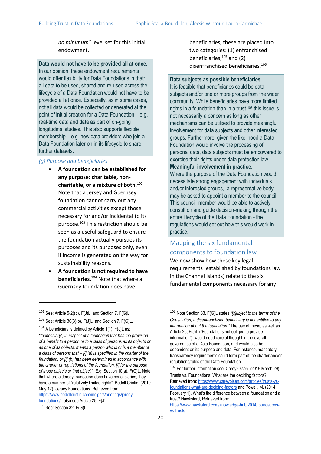*no minimum"* level set for this initial endowment.

**Data would not have to be provided all at once.** In our opinion, these endowment requirements would offer flexibility for Data Foundations in that: all data to be used, shared and re-used across the lifecycle of a Data Foundation would not have to be provided all at once. Especially, as in some cases, not all data would be collected or generated at the point of initial creation for a Data Foundation – e.g. real-time data and data as part of on-going longitudinal studies. This also supports flexible membership – e.g. new data providers who join a Data Foundation later on in its lifecycle to share further datasets.

#### *(g) Purpose and beneficiaries*

- **A foundation can be established for any purpose: charitable, noncharitable, or a mixture of both.**<sup>102</sup> Note that a Jersey and Guernsey foundation cannot carry out any commercial activities except those necessary for and/or incidental to its purpose.<sup>103</sup> This restriction should be seen as a useful safeguard to ensure the foundation actually pursues its purposes and its purposes only, even if income is generated on the way for sustainability reasons.
- **A foundation is not required to have beneficiaries.**<sup>104</sup> Note that where a Guernsey foundation does have

beneficiaries, these are placed into two categories: (1) enfranchised beneficiaries, $105$  and (2) disenfranchised beneficiaries.<sup>106</sup>

#### **Data subjects as possible beneficiaries.**

It is feasible that beneficiaries could be data subjects and/or one or more groups from the wider community. While beneficiaries have more limited rights in a foundation than in a trust,  $107$  this issue is not necessarily a concern as long as other mechanisms can be utilised to provide meaningful involvement for data subjects and other interested groups. Furthermore, given the likelihood a Data Foundation would involve the processing of personal data, data subjects must be empowered to exercise their rights under data protection law. **Meaningful involvement in practice.**

Where the purpose of the Data Foundation would necessitate strong engagement with individuals and/or interested groups, a representative body may be asked to appoint a member to the council. This council member would be able to actively consult on and guide decision-making through the entire lifecycle of the Data Foundation - the regulations would set out how this would work in practice.

# Mapping the six fundamental components to foundation law

We now show how these key legal requirements (established by foundations law in the Channel Islands) relate to the six fundamental components necessary for any

<sup>102</sup> See: Article 5(2)(b), F(J)L; and Section 7, F(G)L.

 $103$  See: Article 30(3)(b), F(J)L; and Section 7, F(G)L.

 $104$  A beneficiary is defined by Article 1(1), F(J)L as: *""beneficiary", in respect of a foundation that has the provision of a benefit to a person or to a class of persons as its objects or as one of its objects, means a person who is or is a member of a class of persons that – [/] (a) is specified in the charter of the foundation; or [/] (b) has been determined in accordance with the charter or regulations of the foundation, [/] for the purpose of those objects or that object."* E.g. Section 10(a), F(G)L. Note that where a Jersey foundation does have beneficiaries, they have a number of "relatively limited rights". Bedell Cristin. (2019 May 17). Jersey Foundations. Retrieved from:

[https://www.bedellcristin.com/insights/briefings/jersey](https://www.bedellcristin.com/insights/briefings/jersey-foundations/)[foundations/;](https://www.bedellcristin.com/insights/briefings/jersey-foundations/) also see Article 25, F(J)L.

<sup>105</sup> See: Section 32, F(G)L.

<sup>106</sup> Note Section 33, F(G)L states:*"[s]ubject to the terms of the Constitution, a disenfranchised beneficiary is not entitled to any information about the foundation."* The use of these, as well as Article 26, F(J)L ("Foundations not obliged to provide information"), would need careful thought in the overall governance of a Data Foundation, and would also be dependent on its purpose and data. For instance, mandatory transparency requirements could form part of the charter and/or regulations/rules of the Data Foundation.

<sup>&</sup>lt;sup>107</sup> For further information see: Carey Olsen. (2019 March 29). Trusts vs. Foundations: What are the deciding factors? Retrieved from: [https://www.careyolsen.com/articles/trusts-vs](https://www.careyolsen.com/articles/trusts-vs-foundations-what-are-deciding-factors)[foundations-what-are-deciding-factors](https://www.careyolsen.com/articles/trusts-vs-foundations-what-are-deciding-factors) and Powell, M. (2014 February 1). What's the difference between a foundation and a trust? Hawksford, Retrieved from:

[https://www.hawksford.com/knowledge-hub/2014/foundations](https://www.hawksford.com/knowledge-hub/2014/foundations-vs-trusts)[vs-trusts.](https://www.hawksford.com/knowledge-hub/2014/foundations-vs-trusts)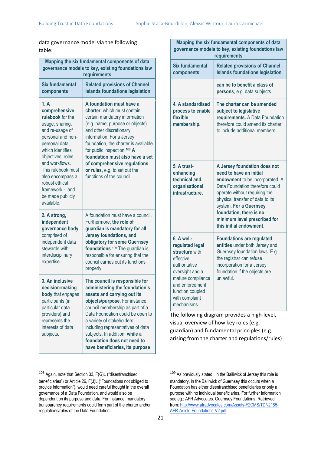data governance model via the following table:

| Mapping the six fundamental components of data<br>governance models to key, existing foundations law<br>requirements                                                                                                                                                                               |                                                                                                                                                                                                                                                                                                                                                                                                         |  |
|----------------------------------------------------------------------------------------------------------------------------------------------------------------------------------------------------------------------------------------------------------------------------------------------------|---------------------------------------------------------------------------------------------------------------------------------------------------------------------------------------------------------------------------------------------------------------------------------------------------------------------------------------------------------------------------------------------------------|--|
| Six fundamental<br>components                                                                                                                                                                                                                                                                      | <b>Related provisions of Channel</b><br><b>Islands foundations legislation</b>                                                                                                                                                                                                                                                                                                                          |  |
| 1. A<br>comprehensive<br>rulebook for the<br>usage, sharing,<br>and re-usage of<br>personal and non-<br>personal data,<br>which identifies<br>objectives, roles<br>and workflows.<br>This rulebook must<br>also encompass a<br>robust ethical<br>framework - and<br>be made publicly<br>available. | A foundation must have a<br>charter, which must contain<br>certain mandatory information<br>(e.g. name, purpose or objects)<br>and other discretionary<br>information. For a Jersey<br>foundation, the charter is available<br>for public inspection. <sup>108</sup> A<br>foundation must also have a set<br>of comprehensive regulations<br>or rules, e.g. to set out the<br>functions of the council. |  |
| 2. A strong,<br>independent<br>governance body<br>comprised of<br>independent data<br>stewards with<br>interdisciplinary<br>expertise.                                                                                                                                                             | A foundation must have a council.<br>Furthermore, the role of<br>guardian is mandatory for all<br><b>Jersey foundations, and</b><br>obligatory for some Guernsey<br>foundations. <sup>109</sup> The guardian is<br>responsible for ensuring that the<br>council carries out its functions<br>properly.                                                                                                  |  |
| 3. An inclusive<br>decision-making<br>body that engages<br>participants (in<br>particular data<br>providers) and<br>represents the<br>interests of data<br>subjects.                                                                                                                               | The council is responsible for<br>administering the foundation's<br>assets and carrying out its<br>objects/purpose. For instance,<br>council membership as part of a<br>Data Foundation could be open to<br>a variety of stakeholders,<br>including representatives of data<br>subjects. In addition, while a<br>foundation does not need to<br>have beneficiaries, its purpose                         |  |

| Mapping the six fundamental components of data<br>governance models to key, existing foundations law<br>requirements                                                                          |                                                                                                                                                                                                                                                                                                                    |
|-----------------------------------------------------------------------------------------------------------------------------------------------------------------------------------------------|--------------------------------------------------------------------------------------------------------------------------------------------------------------------------------------------------------------------------------------------------------------------------------------------------------------------|
| Six fundamental<br>components                                                                                                                                                                 | <b>Related provisions of Channel</b><br><b>Islands foundations legislation</b>                                                                                                                                                                                                                                     |
|                                                                                                                                                                                               | can be to benefit a class of<br>persons, e.g. data subjects.                                                                                                                                                                                                                                                       |
| 4. A standardised<br>process to enable<br>flexible<br>membership.                                                                                                                             | The charter can be amended<br>subject to legislative<br>requirements. A Data Foundation<br>therefore could amend its charter<br>to include additional members.                                                                                                                                                     |
| 5. A trust-<br>enhancing<br>technical and<br>organisational<br>infrastructure.                                                                                                                | A Jersey foundation does not<br>need to have an initial<br>endowment to be incorporated. A<br>Data Foundation therefore could<br>operate without requiring the<br>physical transfer of data to its<br>system. For a Guernsey<br>foundation, there is no<br>minimum level prescribed for<br>this initial endowment. |
| 6. A well-<br>regulated legal<br>structure with<br>effective<br>authoritative<br>oversight and a<br>mature compliance<br>and enforcement<br>function coupled<br>with complaint<br>mechanisms. | <b>Foundations are regulated</b><br>entities under both Jersey and<br>Guernsey foundation laws. E.g.<br>the registrar can refuse<br>incorporation for a Jersey<br>foundation if the objects are<br>unlawful.                                                                                                       |

The following diagram provides a high-level, visual overview of how key roles (e.g. guardian) and fundamental principles (e.g. arising from the charter and regulations/rules)

<sup>108</sup> Again, note that Section 33, F(G)L ("disenfranchised beneficiaries") or Article 26, F(J)L ("Foundations not obliged to provide information"), would need careful thought in the overall governance of a Data Foundation, and would also be dependent on its purpose and data. For instance, mandatory transparency requirements could form part of the charter and/or regulations/rules of the Data Foundation.

<sup>109</sup> As previously stated,, in the Bailiwick of Jersey this role is mandatory, in the Bailiwick of Guernsey this occurs when a Foundation has either disenfranchised beneficiaries or only a purpose with no individual beneficiaries. For further information see eg.: AFR Advocates. Guernsey Foundations. Retrieved from[: http://www.afradvocates.com/Assets-F2CMS/TDN2185-](http://www.afradvocates.com/Assets-F2CMS/TDN2185-AFR-Article-Foundations-V2.pdf) [AFR-Article-Foundations-V2.pdf.](http://www.afradvocates.com/Assets-F2CMS/TDN2185-AFR-Article-Foundations-V2.pdf)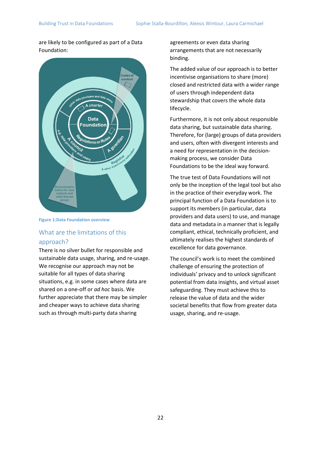are likely to be configured as part of a Data Foundation:



#### **Figure 1:Data Foundation overview**

# What are the limitations of this approach?

There is no silver bullet for responsible and sustainable data usage, sharing, and re-usage. We recognise our approach may not be suitable for all types of data sharing situations, e.g. in some cases where data are shared on a one-off or *ad hoc* basis. We further appreciate that there may be simpler and cheaper ways to achieve data sharing such as through multi-party data sharing

agreements or even data sharing arrangements that are not necessarily binding.

The added value of our approach is to better incentivise organisations to share (more) closed and restricted data with a wider range of users through independent data stewardship that covers the whole data lifecycle.

Furthermore, it is not only about responsible data sharing, but sustainable data sharing. Therefore, for (large) groups of data providers and users, often with divergent interests and a need for representation in the decisionmaking process, we consider Data Foundations to be the ideal way forward.

The true test of Data Foundations will not only be the inception of the legal tool but also in the practice of their everyday work. The principal function of a Data Foundation is to support its members (in particular, data providers and data users) to use, and manage data and metadata in a manner that is legally compliant, ethical, technically proficient, and ultimately realises the highest standards of excellence for data governance.

The council's work is to meet the combined challenge of ensuring the protection of individuals' privacy and to unlock significant potential from data insights, and virtual asset safeguarding. They must achieve this to release the value of data and the wider societal benefits that flow from greater data usage, sharing, and re-usage.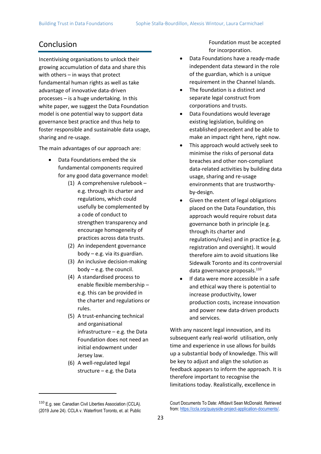# Conclusion

Incentivising organisations to unlock their growing accumulation of data and share this with others – in ways that protect fundamental human rights as well as take advantage of innovative data-driven processes – is a huge undertaking. In this white paper, we suggest the Data Foundation model is one potential way to support data governance best practice and thus help to foster responsible and sustainable data usage, sharing and re-usage.

The main advantages of our approach are:

- Data Foundations embed the six fundamental components required for any good data governance model:
	- (1) A comprehensive rulebook e.g. through its charter and regulations, which could usefully be complemented by a code of conduct to strengthen transparency and encourage homogeneity of practices across data trusts.
	- (2) An independent governance body – e.g. via its guardian.
	- (3) An inclusive decision-making body – e.g. the council.
	- (4) A standardised process to enable flexible membership – e.g. this can be provided in the charter and regulations or rules.
	- (5) A trust-enhancing technical and organisational infrastructure – e.g. the Data Foundation does not need an initial endowment under Jersey law.
	- (6) A well-regulated legal structure – e.g. the Data

Foundation must be accepted for incorporation.

- Data Foundations have a ready-made independent data steward in the role of the guardian, which is a unique requirement in the Channel Islands.
- The foundation is a distinct and separate legal construct from corporations and trusts.
- Data Foundations would leverage existing legislation, building on established precedent and be able to make an impact right here, right now.
- This approach would actively seek to minimise the risks of personal data breaches and other non-compliant data-related activities by building data usage, sharing and re-usage environments that are trustworthyby-design.
- Given the extent of legal obligations placed on the Data Foundation, this approach would require robust data governance both in principle (e.g. through its charter and regulations/rules) and in practice (e.g. registration and oversight). It would therefore aim to avoid situations like Sidewalk Toronto and its controversial data governance proposals.<sup>110</sup>
- If data were more accessible in a safe and ethical way there is potential to increase productivity, lower production costs, increase innovation and power new data-driven products and services.

With any nascent legal innovation, and its subsequent early real-world utilisation, only time and experience in use allows for builds up a substantial body of knowledge. This will be key to adjust and align the solution as feedback appears to inform the approach. It is therefore important to recognise the limitations today. Realistically, excellence in

<sup>&</sup>lt;sup>110</sup> E.g. see: Canadian Civil Liberties Association (CCLA). (2019 June 24). CCLA v. Waterfront Toronto, et. al: Public

Court Documents To Date: Affidavit Sean McDonald. Retrieved from[: https://ccla.org/quayside-project-application-documents/.](https://ccla.org/quayside-project-application-documents/)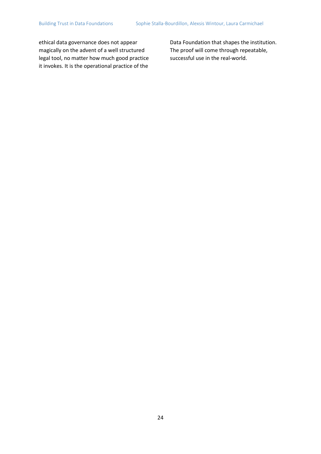ethical data governance does not appear magically on the advent of a well structured legal tool, no matter how much good practice it invokes. It is the operational practice of the

Data Foundation that shapes the institution. The proof will come through repeatable, successful use in the real-world.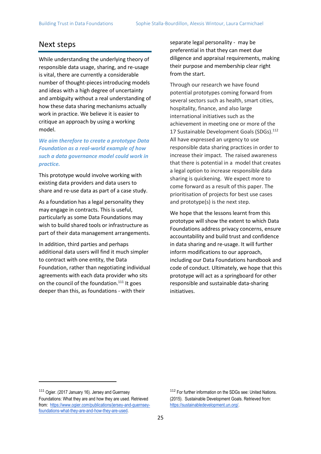# Next steps

While understanding the underlying theory of responsible data usage, sharing, and re-usage is vital, there are currently a considerable number of thought-pieces introducing models and ideas with a high degree of uncertainty and ambiguity without a real understanding of how these data sharing mechanisms actually work in practice. We believe it is easier to critique an approach by using a working model.

*We aim therefore to create a prototype Data Foundation as a real-world example of how such a data governance model could work in practice.*

This prototype would involve working with existing data providers and data users to share and re-use data as part of a case study.

As a foundation has a legal personality they may engage in contracts. This is useful, particularly as some Data Foundations may wish to build shared tools or infrastructure as part of their data management arrangements.

In addition, third parties and perhaps additional data users will find it much simpler to contract with one entity, the Data Foundation, rather than negotiating individual agreements with each data provider who sits on the council of the foundation.<sup>111</sup> It goes deeper than this, as foundations - with their

separate legal personality - may be preferential in that they can meet due diligence and appraisal requirements, making their purpose and membership clear right from the start.

Through our research we have found potential prototypes coming forward from several sectors such as health, smart cities, hospitality, finance, and also large international initiatives such as the achievement in meeting one or more of the 17 Sustainable Development Goals (SDGs).<sup>112</sup> All have expressed an urgency to use responsible data sharing practices in order to increase their impact. The raised awareness that there is potential in a model that creates a legal option to increase responsible data sharing is quickening. We expect more to come forward as a result of this paper. The prioritisation of projects for best use cases and prototype(s) is the next step.

We hope that the lessons learnt from this prototype will show the extent to which Data Foundations address privacy concerns, ensure accountability and build trust and confidence in data sharing and re-usage. It will further inform modifications to our approach, including our Data Foundations handbook and code of conduct. Ultimately, we hope that this prototype will act as a springboard for other responsible and sustainable data-sharing initiatives.

<sup>111</sup> Ogier. (2017 January 16). Jersey and Guernsey Foundations: What they are and how they are used. Retrieved from: [https://www.ogier.com/publications/jersey-and-guernsey](https://www.ogier.com/publications/jersey-and-guernsey-foundations-what-they-are-and-how-they-are-used)[foundations-what-they-are-and-how-they-are-used.](https://www.ogier.com/publications/jersey-and-guernsey-foundations-what-they-are-and-how-they-are-used)

<sup>112</sup> For further information on the SDGs see: United Nations. (2015). Sustainable Development Goals. Retrieved from: [https://sustainabledevelopment.un.org/.](https://sustainabledevelopment.un.org/)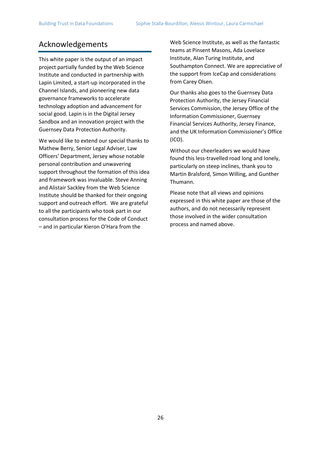# Acknowledgements

This white paper is the output of an impact project partially funded by the Web Science Institute and conducted in partnership with Lapin Limited, a start-up incorporated in the Channel Islands, and pioneering new data governance frameworks to accelerate technology adoption and advancement for social good. Lapin is in the Digital Jersey Sandbox and an innovation project with the Guernsey Data Protection Authority.

We would like to extend our special thanks to Mathew Berry, Senior Legal Adviser, Law Officers' Department, Jersey whose notable personal contribution and unwavering support throughout the formation of this idea and framework was invaluable. Steve Anning and Alistair Sackley from the Web Science Institute should be thanked for their ongoing support and outreach effort. We are grateful to all the participants who took part in our consultation process for the Code of Conduct – and in particular Kieron O'Hara from the

Web Science Institute, as well as the fantastic teams at Pinsent Masons, Ada Lovelace Institute, Alan Turing Institute, and Southampton Connect. We are appreciative of the support from IceCap and considerations from Carey Olsen.

Our thanks also goes to the Guernsey Data Protection Authority, the Jersey Financial Services Commission, the Jersey Office of the Information Commissioner, Guernsey Financial Services Authority, Jersey Finance, and the UK Information Commissioner's Office (ICO).

Without our cheerleaders we would have found this less-travelled road long and lonely, particularly on steep inclines, thank you to Martin Bralsford, Simon Willing, and Gunther Thumann.

Please note that all views and opinions expressed in this white paper are those of the authors, and do not necessarily represent those involved in the wider consultation process and named above.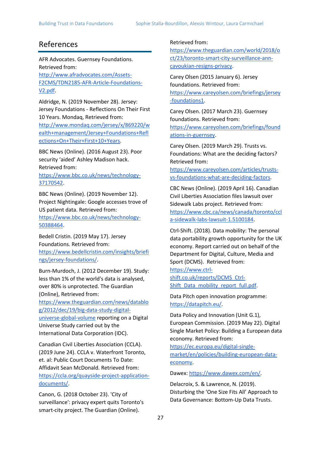# References

AFR Advocates. Guernsey Foundations. Retrieved from:

[http://www.afradvocates.com/Assets-](http://www.afradvocates.com/Assets-F2CMS/TDN2185-AFR-Article-Foundations-V2.pdf)[F2CMS/TDN2185-AFR-Article-Foundations-](http://www.afradvocates.com/Assets-F2CMS/TDN2185-AFR-Article-Foundations-V2.pdf)[V2.pdf.](http://www.afradvocates.com/Assets-F2CMS/TDN2185-AFR-Article-Foundations-V2.pdf)

Aldridge, N. (2019 November 28). Jersey: Jersey Foundations - Reflections On Their First 10 Years. Mondaq, Retrieved from:

[http://www.mondaq.com/jersey/x/869220/w](http://www.mondaq.com/jersey/x/869220/wealth+management/Jersey+Foundations+Reflections+On+Their+First+10+Years) [ealth+management/Jersey+Foundations+Refl](http://www.mondaq.com/jersey/x/869220/wealth+management/Jersey+Foundations+Reflections+On+Their+First+10+Years) [ections+On+Their+First+10+Years.](http://www.mondaq.com/jersey/x/869220/wealth+management/Jersey+Foundations+Reflections+On+Their+First+10+Years)

BBC News (Online). (2016 August 23). Poor security 'aided' Ashley Madison hack. Retrieved from[:](https://www.bbc.co.uk/news/technology-37170542)

[https://www.bbc.co.uk/news/technology-](https://www.bbc.co.uk/news/technology-37170542)[37170542.](https://www.bbc.co.uk/news/technology-37170542)

BBC News (Online). (2019 November 12). Project Nightingale: Google accesses trove of US patient data. Retrieved from[:](https://www.bbc.co.uk/news/technology-50388464)

[https://www.bbc.co.uk/news/technology-](https://www.bbc.co.uk/news/technology-50388464)[50388464.](https://www.bbc.co.uk/news/technology-50388464)

Bedell Cristin. (2019 May 17). Jersey Foundations. Retrieved from: [https://www.bedellcristin.com/insights/briefi](https://www.bedellcristin.com/insights/briefings/jersey-foundations/) [ngs/jersey-foundations/.](https://www.bedellcristin.com/insights/briefings/jersey-foundations/)

Burn-Murdoch, J. (2012 December 19). Study: less than 1% of the world's data is analysed, over 80% is unprotected. The Guardian (Online), Retrieved from:

[https://www.theguardian.com/news/datablo](https://www.theguardian.com/news/datablog/2012/dec/19/big-data-study-digital-universe-global-volume) [g/2012/dec/19/big-data-study-digital](https://www.theguardian.com/news/datablog/2012/dec/19/big-data-study-digital-universe-global-volume)[universe-global-volume](https://www.theguardian.com/news/datablog/2012/dec/19/big-data-study-digital-universe-global-volume) reporting on a Digital Universe Study carried out by the International Data Corporation (IDC).

Canadian Civil Liberties Association (CCLA). (2019 June 24). CCLA v. Waterfront Toronto, et. al: Public Court Documents To Date: Affidavit Sean McDonald. Retrieved from[:](https://ccla.org/quayside-project-application-documents/) [https://ccla.org/quayside-project-application](https://ccla.org/quayside-project-application-documents/)[documents/.](https://ccla.org/quayside-project-application-documents/)

Canon, G. (2018 October 23). 'City of surveillance': privacy expert quits Toronto's smart-city project. The Guardian (Online).

#### Retrieved from[:](https://www.theguardian.com/world/2018/oct/23/toronto-smart-city-surveillance-ann-cavoukian-resigns-privacy)

[https://www.theguardian.com/world/2018/o](https://www.theguardian.com/world/2018/oct/23/toronto-smart-city-surveillance-ann-cavoukian-resigns-privacy) [ct/23/toronto-smart-city-surveillance-ann](https://www.theguardian.com/world/2018/oct/23/toronto-smart-city-surveillance-ann-cavoukian-resigns-privacy)[cavoukian-resigns-privacy.](https://www.theguardian.com/world/2018/oct/23/toronto-smart-city-surveillance-ann-cavoukian-resigns-privacy)

Carey Olsen (2015 January 6). Jersey foundations. Retrieved from[:](https://www.careyolsen.com/briefings/jersey-foundations1) [https://www.careyolsen.com/briefings/jersey](https://www.careyolsen.com/briefings/jersey-foundations1) [-foundations1.](https://www.careyolsen.com/briefings/jersey-foundations1)

Carey Olsen. (2017 March 23). Guernsey foundations. Retrieved from: [https://www.careyolsen.com/briefings/found](https://www.careyolsen.com/briefings/foundations-in-guernsey) [ations-in-guernsey.](https://www.careyolsen.com/briefings/foundations-in-guernsey)

Carey Olsen. (2019 March 29). Trusts vs. Foundations: What are the deciding factors? Retrieved from:

[https://www.careyolsen.com/articles/trusts](https://www.careyolsen.com/articles/trusts-vs-foundations-what-are-deciding-factors)[vs-foundations-what-are-deciding-factors.](https://www.careyolsen.com/articles/trusts-vs-foundations-what-are-deciding-factors)

CBC News (Online). (2019 April 16). Canadian Civil Liberties Association files lawsuit over Sidewalk Labs project. Retrieved from[:](https://www.cbc.ca/news/canada/toronto/ccla-sidewalk-labs-lawsuit-1.5100184) [https://www.cbc.ca/news/canada/toronto/ccl](https://www.cbc.ca/news/canada/toronto/ccla-sidewalk-labs-lawsuit-1.5100184) [a-sidewalk-labs-lawsuit-1.5100184.](https://www.cbc.ca/news/canada/toronto/ccla-sidewalk-labs-lawsuit-1.5100184)

Ctrl-Shift. (2018). Data mobility: The personal data portability growth opportunity for the UK economy. [Report carried out on behalf of the](https://www.ctrl-shift.co.uk/reports/DCMS_Ctrl-Shift_Data_mobility_report_full.pdf)  [Department for Digital, Culture, Media and](https://www.ctrl-shift.co.uk/reports/DCMS_Ctrl-Shift_Data_mobility_report_full.pdf)  [Sport \(DCMS\). Retrieved from:](https://www.ctrl-shift.co.uk/reports/DCMS_Ctrl-Shift_Data_mobility_report_full.pdf) 

[https://www.ctrl](https://www.ctrl-shift.co.uk/reports/DCMS_Ctrl-Shift_Data_mobility_report_full.pdf)[shift.co.uk/reports/DCMS\\_Ctrl-](https://www.ctrl-shift.co.uk/reports/DCMS_Ctrl-Shift_Data_mobility_report_full.pdf)Shift\_Data\_mobility\_report\_full.pdf

Data Pitch open innovation programme[:](https://datapitch.eu/) [https://datapitch.eu/.](https://datapitch.eu/)

Data Policy and Innovation (Unit G.1), European Commission. (2019 May 22). Digital Single Market Policy: Building a European data economy. Retrieved from:

[https://ec.europa.eu/digital-single](https://ec.europa.eu/digital-single-market/en/policies/building-european-data-economy)[market/en/policies/building-european-data](https://ec.europa.eu/digital-single-market/en/policies/building-european-data-economy)[economy.](https://ec.europa.eu/digital-single-market/en/policies/building-european-data-economy)

Dawex[:](https://www.dawex.com/en/) [https://www.dawex.com/en/.](https://www.dawex.com/en/)

Delacroix, S. & Lawrence, N. (2019). Disturbing the 'One Size Fits All' Approach to Data Governance: Bottom-Up Data Trusts.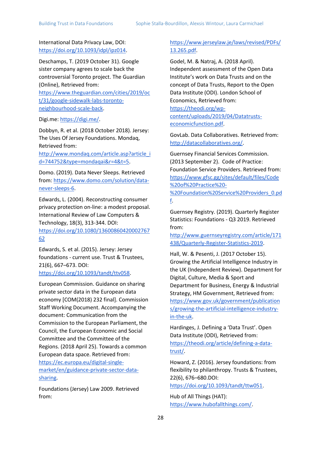International Data Privacy Law, DOI[:](https://doi.org/10.1093/idpl/ipz014) [https://doi.org/10.1093/idpl/ipz014.](https://doi.org/10.1093/idpl/ipz014)

Deschamps, T. (2019 October 31). Google sister company agrees to scale back the controversial Toronto project. The Guardian (Online), Retrieved from[:](https://www.theguardian.com/cities/2019/oct/31/google-sidewalk-labs-toronto-neighbourhood-scale-back) [https://www.theguardian.com/cities/2019/oc](https://www.theguardian.com/cities/2019/oct/31/google-sidewalk-labs-toronto-neighbourhood-scale-back) [t/31/google-sidewalk-labs-toronto](https://www.theguardian.com/cities/2019/oct/31/google-sidewalk-labs-toronto-neighbourhood-scale-back)[neighbourhood-scale-back.](https://www.theguardian.com/cities/2019/oct/31/google-sidewalk-labs-toronto-neighbourhood-scale-back)

Digi.me: [https://digi.me/.](https://digi.me/)

Dobbyn, R. et al. (2018 October 2018). Jersey: The Uses Of Jersey Foundations. Mondaq, Retrieved from:

[http://www.mondaq.com/article.asp?article\\_i](http://www.mondaq.com/article.asp?article_id=744752&type=mondaqai&r=4&t=5) [d=744752&type=mondaqai&r=4&t=5.](http://www.mondaq.com/article.asp?article_id=744752&type=mondaqai&r=4&t=5)

Domo. (2019). Data Never Sleeps. Retrieved from[:](https://www.domo.com/solution/data-never-sleeps-6) [https://www.domo.com/solution/data](https://www.domo.com/solution/data-never-sleeps-6)[never-sleeps-6.](https://www.domo.com/solution/data-never-sleeps-6)

Edwards, L. (2004). Reconstructing consumer privacy protection on‐line: a modest proposal. International Review of Law Computers & Technology, 18(3), 313-344. DOI: [https://doi.org/10.1080/13600860420002767](https://doi.org/10.1080/1360086042000276762) [62](https://doi.org/10.1080/1360086042000276762)

Edwards, S. et al. (2015). Jersey: Jersey foundations - current use. Trust & Trustees, 21(6), 667–673. DOI: [https://doi.org/10.1093/tandt/ttv058.](https://doi.org/10.1093/tandt/ttv058)

European Commission. Guidance on sharing private sector data in the European data economy [COM(2018) 232 final]. Commission Staff Working Document. Accompanying the document: Communication from the Commission to the European Parliament, the Council, the European Economic and Social Committee and the Committee of the Regions. (2018 April 25). Towards a common European data space. Retrieved from[:](https://ec.europa.eu/digital-single-market/en/guidance-private-sector-data-sharing) [https://ec.europa.eu/digital-single](https://ec.europa.eu/digital-single-market/en/guidance-private-sector-data-sharing)[market/en/guidance-private-sector-data](https://ec.europa.eu/digital-single-market/en/guidance-private-sector-data-sharing)[sharing.](https://ec.europa.eu/digital-single-market/en/guidance-private-sector-data-sharing)

Foundations (Jersey) Law 2009. Retrieved from[:](https://www.jerseylaw.je/laws/revised/PDFs/13.265.pdf)

#### [https://www.jerseylaw.je/laws/revised/PDFs/](https://www.jerseylaw.je/laws/revised/PDFs/13.265.pdf) [13.265.pdf.](https://www.jerseylaw.je/laws/revised/PDFs/13.265.pdf)

Godel, M. & Natraj, A. (2018 April). Independent assessment of the Open Data Institute's work on Data Trusts and on the concept of Data Trusts, Report to the Open Data Institute (ODI). London School of Economics, Retrieved from:

[https://theodi.org/wp](https://theodi.org/wp-content/uploads/2019/04/Datatrusts-economicfunction.pdf)[content/uploads/2019/04/Datatrusts](https://theodi.org/wp-content/uploads/2019/04/Datatrusts-economicfunction.pdf)[economicfunction.pdf.](https://theodi.org/wp-content/uploads/2019/04/Datatrusts-economicfunction.pdf)

GovLab. Data Collaboratives. Retrieved from[:](http://datacollaboratives.org/) [http://datacollaboratives.org/.](http://datacollaboratives.org/)

Guernsey Financial Services Commission. (2013 September 2). Code of Practice: Foundation Service Providers. Retrieved from: [https://www.gfsc.gg/sites/default/files/Code](https://www.gfsc.gg/sites/default/files/Code%20of%20Practice%20-%20Foundation%20Service%20Providers_0.pdf) [%20of%20Practice%20-](https://www.gfsc.gg/sites/default/files/Code%20of%20Practice%20-%20Foundation%20Service%20Providers_0.pdf) [%20Foundation%20Service%20Providers\\_0.pd](https://www.gfsc.gg/sites/default/files/Code%20of%20Practice%20-%20Foundation%20Service%20Providers_0.pdf) [f.](https://www.gfsc.gg/sites/default/files/Code%20of%20Practice%20-%20Foundation%20Service%20Providers_0.pdf)

Guernsey Registry. (2019). Quarterly Register Statistics: Foundations - Q3 2019. Retrieved from:

[http://www.guernseyregistry.com/article/171](http://www.guernseyregistry.com/article/171438/Quarterly-Register-Statistics-2019) [438/Quarterly-Register-Statistics-2019.](http://www.guernseyregistry.com/article/171438/Quarterly-Register-Statistics-2019)

Hall, W. & Pesenti, J. (2017 October 15). Growing the Artificial Intelligence Industry in the UK (Independent Review). Department for Digital, Culture, Media & Sport and Department for Business, Energy & Industrial Strategy, HM Government, Retrieved from[:](https://www.gov.uk/government/publications/growing-the-artificial-intelligence-industry-in-the-uk) [https://www.gov.uk/government/publication](https://www.gov.uk/government/publications/growing-the-artificial-intelligence-industry-in-the-uk) [s/growing-the-artificial-intelligence-industry](https://www.gov.uk/government/publications/growing-the-artificial-intelligence-industry-in-the-uk)[in-the-uk.](https://www.gov.uk/government/publications/growing-the-artificial-intelligence-industry-in-the-uk)

Hardinges, J. Defining a 'Data Trust'. Open Data Institute (ODI), Retrieved from[:](https://theodi.org/article/defining-a-data-trust/) [https://theodi.org/article/defining-a-data](https://theodi.org/article/defining-a-data-trust/)[trust/.](https://theodi.org/article/defining-a-data-trust/)

Howard, Z. (2016). Jersey foundations: from flexibility to philanthropy. Trusts & Trustees, 22(6), 676–680.DOI[:](https://doi.org/10.1093/tandt/ttw051)

[https://doi.org/10.1093/tandt/ttw051.](https://doi.org/10.1093/tandt/ttw051)

Hub of All Things (HAT)[:](https://www.hubofallthings.com/) [https://www.hubofallthings.com/.](https://www.hubofallthings.com/)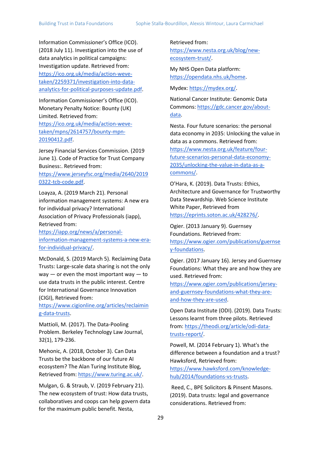Information Commissioner's Office (ICO). (2018 July 11). Investigation into the use of data analytics in political campaigns: Investigation update. Retrieved from[:](https://ico.org.uk/media/action-weve-taken/2259371/investigation-into-data-analytics-for-political-purposes-update.pdf) [https://ico.org.uk/media/action-weve](https://ico.org.uk/media/action-weve-taken/2259371/investigation-into-data-analytics-for-political-purposes-update.pdf)[taken/2259371/investigation-into-data](https://ico.org.uk/media/action-weve-taken/2259371/investigation-into-data-analytics-for-political-purposes-update.pdf)[analytics-for-political-purposes-update.pdf.](https://ico.org.uk/media/action-weve-taken/2259371/investigation-into-data-analytics-for-political-purposes-update.pdf)

Information Commissioner's Office (ICO). Monetary Penalty Notice: Bounty (UK) Limited. Retrieved from[:](https://ico.org.uk/media/action-weve-taken/mpns/2614757/bounty-mpn-20190412.pdf) [https://ico.org.uk/media/action-weve](https://ico.org.uk/media/action-weve-taken/mpns/2614757/bounty-mpn-20190412.pdf)[taken/mpns/2614757/bounty-mpn-](https://ico.org.uk/media/action-weve-taken/mpns/2614757/bounty-mpn-20190412.pdf)[20190412.pdf.](https://ico.org.uk/media/action-weve-taken/mpns/2614757/bounty-mpn-20190412.pdf)

Jersey Financial Services Commission. (2019 June 1). Code of Practice for Trust Company Business:. Retrieved from:

[https://www.jerseyfsc.org/media/2640/2019](https://www.jerseyfsc.org/media/2640/20190322-tcb-code.pdf) [0322-tcb-code.pdf.](https://www.jerseyfsc.org/media/2640/20190322-tcb-code.pdf)

Loayza, A. (2019 March 21). Personal information management systems: A new era for individual privacy? International Association of Privacy Professionals (iapp), Retrieved from[:](https://iapp.org/news/a/personal-information-management-systems-a-new-era-for-individual-privacy/)

[https://iapp.org/news/a/personal](https://iapp.org/news/a/personal-information-management-systems-a-new-era-for-individual-privacy/)[information-management-systems-a-new-era](https://iapp.org/news/a/personal-information-management-systems-a-new-era-for-individual-privacy/)[for-individual-privacy/.](https://iapp.org/news/a/personal-information-management-systems-a-new-era-for-individual-privacy/)

McDonald, S. (2019 March 5). Reclaiming Data Trusts: Large-scale data sharing is not the only  $way - or even the most important way - to$ use data trusts in the public interest. Centre for International Governance Innovation (CIGI), Retrieved from:

[https://www.cigionline.org/articles/reclaimin](https://www.cigionline.org/articles/reclaiming-data-trusts) [g-data-trusts.](https://www.cigionline.org/articles/reclaiming-data-trusts)

Mattioli, M. (2017). The Data-Pooling Problem. Berkeley Technology Law Journal, 32(1), 179-236.

Mehonic, A. (2018, October 3). Can Data Trusts be the backbone of our future AI ecosystem? The Alan Turing Institute Blog, Retrieved from[:](https://www.turing.ac.uk/) [https://www.turing.ac.uk/.](https://www.turing.ac.uk/)

Mulgan, G. & Straub, V. (2019 February 21). The new ecosystem of trust: How data trusts, collaboratives and coops can help govern data for the maximum public benefit. Nesta,

Retrieved from: [https://www.nesta.org.uk/blog/new](https://www.nesta.org.uk/blog/new-ecosystem-trust/)[ecosystem-trust/.](https://www.nesta.org.uk/blog/new-ecosystem-trust/)

My NHS Open Data platform[:](https://opendata.nhs.uk/home) [https://opendata.nhs.uk/home.](https://opendata.nhs.uk/home)

Mydex[:](https://mydex.org/) [https://mydex.org/.](https://mydex.org/)

National Cancer Institute: Genomic Data Commons[:](https://gdc.cancer.gov/about-data) [https://gdc.cancer.gov/about](https://gdc.cancer.gov/about-data)[data.](https://gdc.cancer.gov/about-data)

Nesta. Four future scenarios: the personal data economy in 2035: Unlocking the value in data as a commons. Retrieved from[:](https://www.nesta.org.uk/feature/four-future-scenarios-personal-data-economy-2035/unlocking-the-value-in-data-as-a-commons/) [https://www.nesta.org.uk/feature/four](https://www.nesta.org.uk/feature/four-future-scenarios-personal-data-economy-2035/unlocking-the-value-in-data-as-a-commons/)[future-scenarios-personal-data-economy-](https://www.nesta.org.uk/feature/four-future-scenarios-personal-data-economy-2035/unlocking-the-value-in-data-as-a-commons/)[2035/unlocking-the-value-in-data-as-a](https://www.nesta.org.uk/feature/four-future-scenarios-personal-data-economy-2035/unlocking-the-value-in-data-as-a-commons/)[commons/.](https://www.nesta.org.uk/feature/four-future-scenarios-personal-data-economy-2035/unlocking-the-value-in-data-as-a-commons/)

O'Hara, K. (2019). Data Trusts: Ethics, Architecture and Governance for Trustworthy Data Stewardship. Web Science Institute White Paper, Retrieved from [https://eprints.soton.ac.uk/428276/.](https://eprints.soton.ac.uk/428276/)

Ogier. (2013 January 9). Guernsey Foundations. Retrieved from: [https://www.ogier.com/publications/guernse](https://www.ogier.com/publications/guernsey-foundations)

[y-foundations.](https://www.ogier.com/publications/guernsey-foundations)

Ogier. (2017 January 16). Jersey and Guernsey Foundations: What they are and how they are used. Retrieved from:

[https://www.ogier.com/publications/jersey](https://www.ogier.com/publications/jersey-and-guernsey-foundations-what-they-are-and-how-they-are-used)[and-guernsey-foundations-what-they-are](https://www.ogier.com/publications/jersey-and-guernsey-foundations-what-they-are-and-how-they-are-used)[and-how-they-are-used.](https://www.ogier.com/publications/jersey-and-guernsey-foundations-what-they-are-and-how-they-are-used)

Open Data Institute (ODI). (2019). Data Trusts: Lessons learnt from three pilots. Retrieved from[:](https://theodi.org/article/odi-data-trusts-report/) [https://theodi.org/article/odi-data](https://theodi.org/article/odi-data-trusts-report/)[trusts-report/.](https://theodi.org/article/odi-data-trusts-report/)

Powell, M. (2014 February 1). What's the difference between a foundation and a trust? Hawksford, Retrieved from:

[https://www.hawksford.com/knowledge](https://www.hawksford.com/knowledge-hub/2014/foundations-vs-trusts)[hub/2014/foundations-vs-trusts.](https://www.hawksford.com/knowledge-hub/2014/foundations-vs-trusts)

Reed, C., BPE Solicitors & Pinsent Masons. (2019). Data trusts: legal and governance considerations. Retrieved from[:](http://theodi.org/article/data-trusts-legal-report/)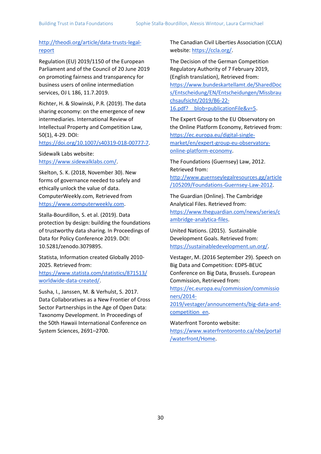### [http://theodi.org/article/data-trusts-legal](http://theodi.org/article/data-trusts-legal-report)[report](http://theodi.org/article/data-trusts-legal-report)

Regulation (EU) 2019/1150 of the European Parliament and of the Council of 20 June 2019 on promoting fairness and transparency for business users of online intermediation services, OJ L 186, 11.7.2019.

Richter, H. & Slowinski, P.R. (2019). The data sharing economy: on the emergence of new intermediaries. International Review of Intellectual Property and Competition Law*,* 50(1), 4-29. DOI:

[https://doi.org/10.1007/s40319-018-00777-7.](https://doi.org/10.1007/s40319-018-00777-7)

Sidewalk Labs website[:](https://www.sidewalklabs.com/) [https://www.sidewalklabs.com/.](https://www.sidewalklabs.com/)

Skelton, S. K. (2018, November 30). New forms of governance needed to safely and ethically unlock the value of data. ComputerWeekly.com, Retrieved fro[m](https://www.computerweekly.com/) [https://www.computerweekly.com.](https://www.computerweekly.com/)

Stalla-Bourdillon, S. et al. (2019). Data protection by design: building the foundations of trustworthy data sharing. In Proceedings of Data for Policy Conference 2019. DOI[:](https://doi.org/10.5281/zenodo.3079895) [10.5281/zenodo.3079895.](https://doi.org/10.5281/zenodo.3079895)

Statista, Information created Globally 2010- 2025. Retrieved from[:](https://www.statista.com/statistics/871513/worldwide-data-created/) [https://www.statista.com/statistics/871513/](https://www.statista.com/statistics/871513/worldwide-data-created/) [worldwide-data-created/.](https://www.statista.com/statistics/871513/worldwide-data-created/)

Susha, I., Janssen, M. & Verhulst, S. 2017. Data Collaboratives as a New Frontier of Cross Sector Partnerships in the Age of Open Data: Taxonomy Development. In Proceedings of the 50th Hawaii International Conference on System Sciences, 2691–2700.

The Canadian Civil Liberties Association (CCLA) website[:](https://ccla.org/) [https://ccla.org/.](https://ccla.org/)

The Decision of the German Competition Regulatory Authority of 7 February 2019, (English translation), Retrieved from: [https://www.bundeskartellamt.de/SharedDoc](https://www.bundeskartellamt.de/SharedDocs/Entscheidung/EN/Entscheidungen/Missbrauchsaufsicht/2019/B6-22-16.pdf?__blob=publicationFile&v=5) [s/Entscheidung/EN/Entscheidungen/Missbrau](https://www.bundeskartellamt.de/SharedDocs/Entscheidung/EN/Entscheidungen/Missbrauchsaufsicht/2019/B6-22-16.pdf?__blob=publicationFile&v=5) [chsaufsicht/2019/B6-22-](https://www.bundeskartellamt.de/SharedDocs/Entscheidung/EN/Entscheidungen/Missbrauchsaufsicht/2019/B6-22-16.pdf?__blob=publicationFile&v=5) 16.pdf? blob=publicationFile&v=5.

The Expert Group to the EU Observatory on the Online Platform Economy, Retrieved from: [https://ec.europa.eu/digital-single](https://ec.europa.eu/digital-single-market/en/expert-group-eu-observatory-online-platform-economy)[market/en/expert-group-eu-observatory](https://ec.europa.eu/digital-single-market/en/expert-group-eu-observatory-online-platform-economy)[online-platform-economy.](https://ec.europa.eu/digital-single-market/en/expert-group-eu-observatory-online-platform-economy)

The Foundations (Guernsey) Law, 2012. Retrieved from[:](http://www.guernseylegalresources.gg/article/105209/Foundations-Guernsey-Law-2012) [http://www.guernseylegalresources.gg/article](http://www.guernseylegalresources.gg/article/105209/Foundations-Guernsey-Law-2012) [/105209/Foundations-Guernsey-Law-2012.](http://www.guernseylegalresources.gg/article/105209/Foundations-Guernsey-Law-2012)

The Guardian (Online). The Cambridge Analytical Files. Retrieved from[:](https://www.theguardian.com/news/series/cambridge-analytica-files) [https://www.theguardian.com/news/series/c](https://www.theguardian.com/news/series/cambridge-analytica-files) [ambridge-analytica-files.](https://www.theguardian.com/news/series/cambridge-analytica-files)

United Nations. (2015). Sustainable Development Goals. Retrieved from: [https://sustainabledevelopment.un.org/.](https://sustainabledevelopment.un.org/)

Vestager, M. (2016 September 29). Speech on Big Data and Competition: EDPS-BEUC Conference on Big Data, Brussels. European Commission, Retrieved from[:](https://ec.europa.eu/commission/commissioners/2014-2019/vestager/announcements/big-data-and-competition_en)

[https://ec.europa.eu/commission/commissio](https://ec.europa.eu/commission/commissioners/2014-2019/vestager/announcements/big-data-and-competition_en) [ners/2014-](https://ec.europa.eu/commission/commissioners/2014-2019/vestager/announcements/big-data-and-competition_en)

[2019/vestager/announcements/big-data-and](https://ec.europa.eu/commission/commissioners/2014-2019/vestager/announcements/big-data-and-competition_en)[competition\\_en.](https://ec.europa.eu/commission/commissioners/2014-2019/vestager/announcements/big-data-and-competition_en)

Waterfront Toronto website[:](https://www.waterfrontoronto.ca/nbe/portal/waterfront/Home) [https://www.waterfrontoronto.ca/nbe/portal](https://www.waterfrontoronto.ca/nbe/portal/waterfront/Home) [/waterfront/Home.](https://www.waterfrontoronto.ca/nbe/portal/waterfront/Home)